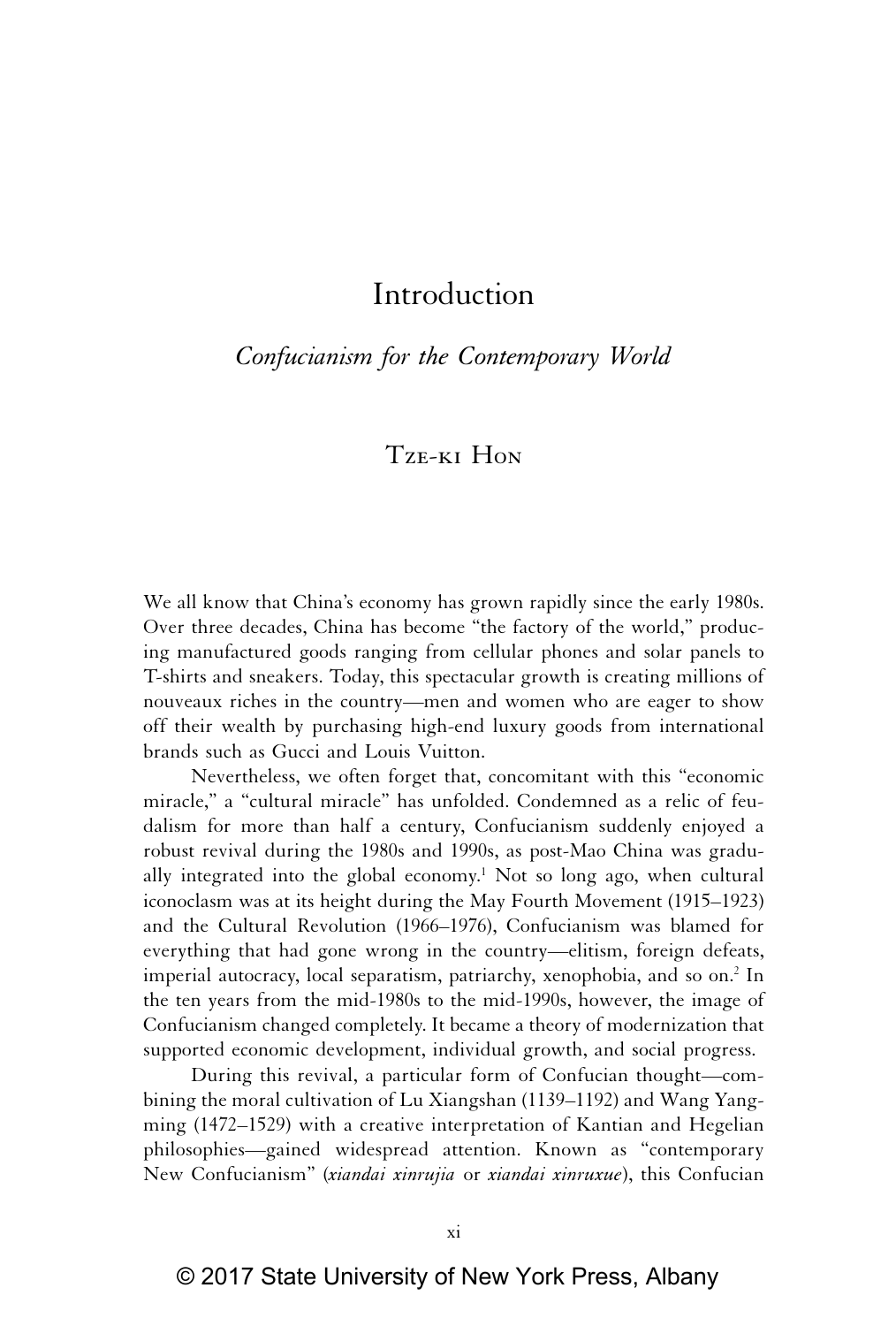# Introduction

## *Confucianism for the Contemporary World*

# Tze-ki Hon

We all know that China's economy has grown rapidly since the early 1980s. Over three decades, China has become "the factory of the world," producing manufactured goods ranging from cellular phones and solar panels to T-shirts and sneakers. Today, this spectacular growth is creating millions of nouveaux riches in the country—men and women who are eager to show off their wealth by purchasing high-end luxury goods from international brands such as Gucci and Louis Vuitton.

Nevertheless, we often forget that, concomitant with this "economic miracle," a "cultural miracle" has unfolded. Condemned as a relic of feudalism for more than half a century, Confucianism suddenly enjoyed a robust revival during the 1980s and 1990s, as post-Mao China was gradually integrated into the global economy.<sup>1</sup> Not so long ago, when cultural iconoclasm was at its height during the May Fourth Movement (1915–1923) and the Cultural Revolution (1966–1976), Confucianism was blamed for everything that had gone wrong in the country—elitism, foreign defeats, imperial autocracy, local separatism, patriarchy, xenophobia, and so on.<sup>2</sup> In the ten years from the mid-1980s to the mid-1990s, however, the image of Confucianism changed completely. It became a theory of modernization that supported economic development, individual growth, and social progress.

During this revival, a particular form of Confucian thought—combining the moral cultivation of Lu Xiangshan (1139–1192) and Wang Yangming (1472–1529) with a creative interpretation of Kantian and Hegelian philosophies—gained widespread attention. Known as "contemporary New Confucianism" (*xiandai xinrujia* or *xiandai xinruxue*), this Confucian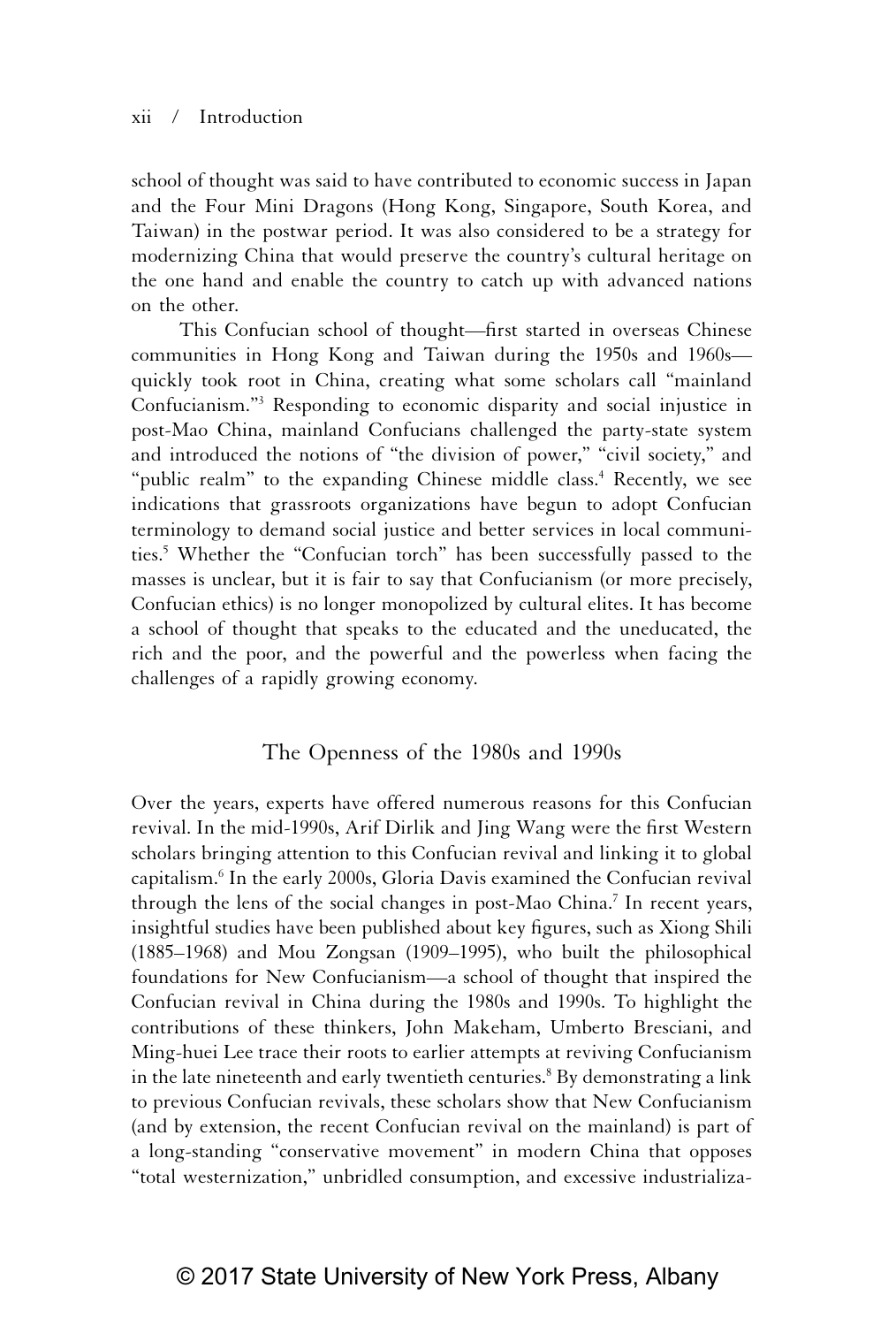#### xii / Introduction

school of thought was said to have contributed to economic success in Japan and the Four Mini Dragons (Hong Kong, Singapore, South Korea, and Taiwan) in the postwar period. It was also considered to be a strategy for modernizing China that would preserve the country's cultural heritage on the one hand and enable the country to catch up with advanced nations on the other.

This Confucian school of thought—first started in overseas Chinese communities in Hong Kong and Taiwan during the 1950s and 1960s quickly took root in China, creating what some scholars call "mainland Confucianism."3 Responding to economic disparity and social injustice in post-Mao China, mainland Confucians challenged the party-state system and introduced the notions of "the division of power," "civil society," and "public realm" to the expanding Chinese middle class.<sup>4</sup> Recently, we see indications that grassroots organizations have begun to adopt Confucian terminology to demand social justice and better services in local communities.5 Whether the "Confucian torch" has been successfully passed to the masses is unclear, but it is fair to say that Confucianism (or more precisely, Confucian ethics) is no longer monopolized by cultural elites. It has become a school of thought that speaks to the educated and the uneducated, the rich and the poor, and the powerful and the powerless when facing the challenges of a rapidly growing economy.

### The Openness of the 1980s and 1990s

Over the years, experts have offered numerous reasons for this Confucian revival. In the mid-1990s, Arif Dirlik and Jing Wang were the first Western scholars bringing attention to this Confucian revival and linking it to global capitalism.6 In the early 2000s, Gloria Davis examined the Confucian revival through the lens of the social changes in post-Mao China.<sup>7</sup> In recent years, insightful studies have been published about key figures, such as Xiong Shili (1885–1968) and Mou Zongsan (1909–1995), who built the philosophical foundations for New Confucianism—a school of thought that inspired the Confucian revival in China during the 1980s and 1990s. To highlight the contributions of these thinkers, John Makeham, Umberto Bresciani, and Ming-huei Lee trace their roots to earlier attempts at reviving Confucianism in the late nineteenth and early twentieth centuries.8 By demonstrating a link to previous Confucian revivals, these scholars show that New Confucianism (and by extension, the recent Confucian revival on the mainland) is part of a long-standing "conservative movement" in modern China that opposes "total westernization," unbridled consumption, and excessive industrializa-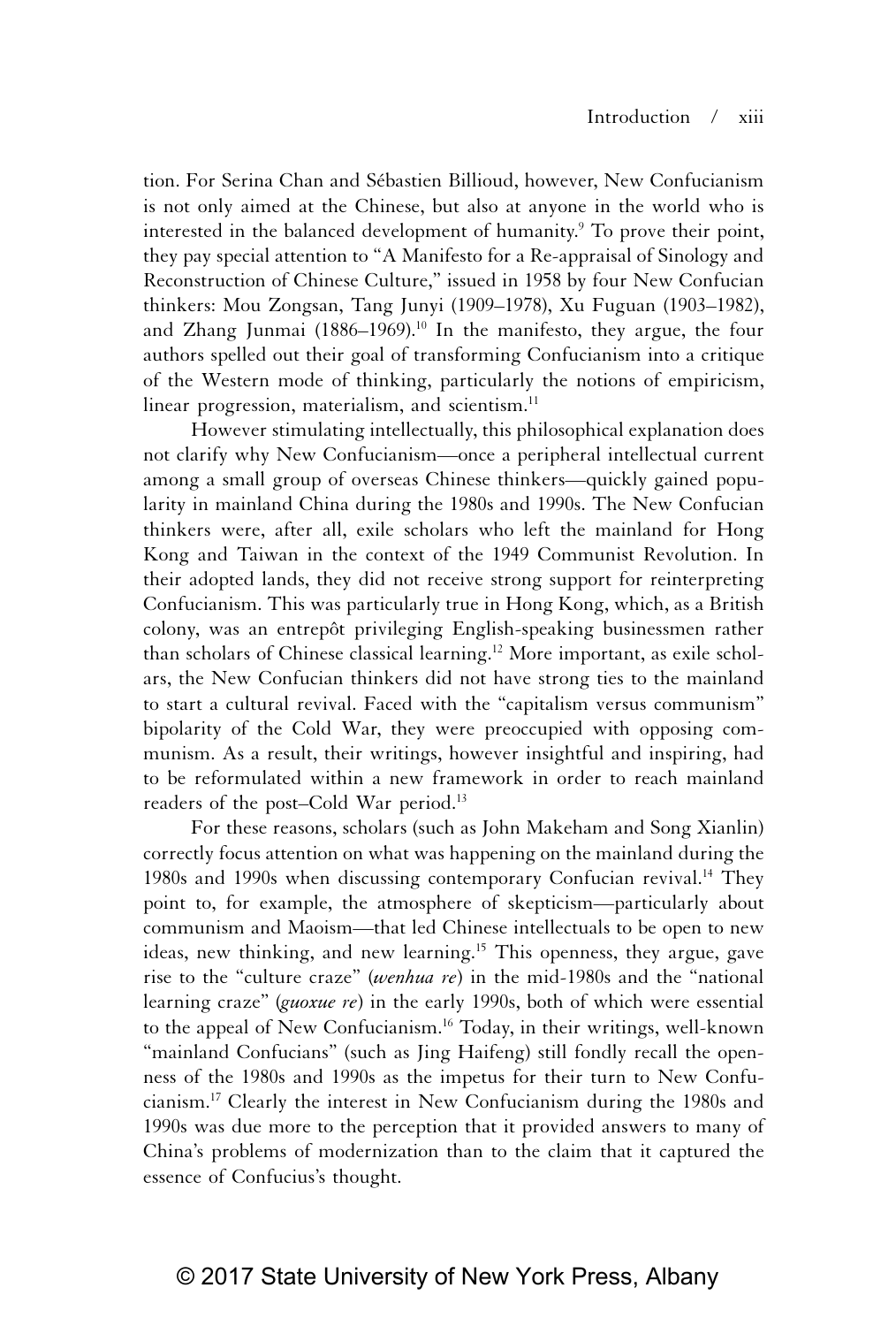tion. For Serina Chan and Sébastien Billioud, however, New Confucianism is not only aimed at the Chinese, but also at anyone in the world who is interested in the balanced development of humanity.<sup>9</sup> To prove their point, they pay special attention to "A Manifesto for a Re-appraisal of Sinology and Reconstruction of Chinese Culture," issued in 1958 by four New Confucian thinkers: Mou Zongsan, Tang Junyi (1909–1978), Xu Fuguan (1903–1982), and Zhang Junmai  $(1886-1969).$ <sup>10</sup> In the manifesto, they argue, the four authors spelled out their goal of transforming Confucianism into a critique of the Western mode of thinking, particularly the notions of empiricism, linear progression, materialism, and scientism.<sup>11</sup>

However stimulating intellectually, this philosophical explanation does not clarify why New Confucianism—once a peripheral intellectual current among a small group of overseas Chinese thinkers—quickly gained popularity in mainland China during the 1980s and 1990s. The New Confucian thinkers were, after all, exile scholars who left the mainland for Hong Kong and Taiwan in the context of the 1949 Communist Revolution. In their adopted lands, they did not receive strong support for reinterpreting Confucianism. This was particularly true in Hong Kong, which, as a British colony, was an entrepôt privileging English-speaking businessmen rather than scholars of Chinese classical learning.12 More important, as exile scholars, the New Confucian thinkers did not have strong ties to the mainland to start a cultural revival. Faced with the "capitalism versus communism" bipolarity of the Cold War, they were preoccupied with opposing communism. As a result, their writings, however insightful and inspiring, had to be reformulated within a new framework in order to reach mainland readers of the post–Cold War period.13

For these reasons, scholars (such as John Makeham and Song Xianlin) correctly focus attention on what was happening on the mainland during the 1980s and 1990s when discussing contemporary Confucian revival.<sup>14</sup> They point to, for example, the atmosphere of skepticism—particularly about communism and Maoism—that led Chinese intellectuals to be open to new ideas, new thinking, and new learning.<sup>15</sup> This openness, they argue, gave rise to the "culture craze" (*wenhua re*) in the mid-1980s and the "national learning craze" (*guoxue re*) in the early 1990s, both of which were essential to the appeal of New Confucianism.<sup>16</sup> Today, in their writings, well-known "mainland Confucians" (such as Jing Haifeng) still fondly recall the openness of the 1980s and 1990s as the impetus for their turn to New Confucianism.17 Clearly the interest in New Confucianism during the 1980s and 1990s was due more to the perception that it provided answers to many of China's problems of modernization than to the claim that it captured the essence of Confucius's thought.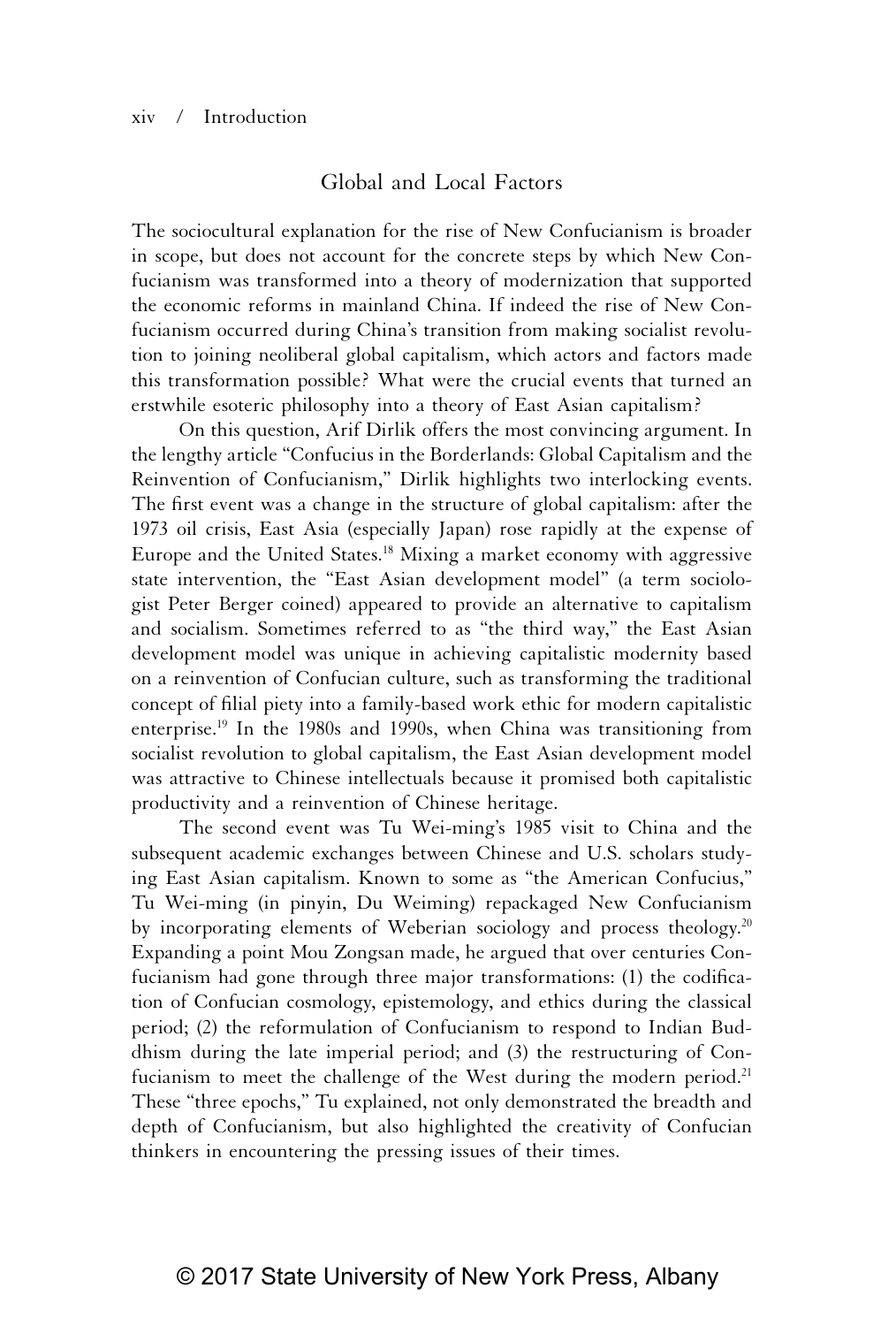#### xiv / Introduction

### Global and Local Factors

The sociocultural explanation for the rise of New Confucianism is broader in scope, but does not account for the concrete steps by which New Confucianism was transformed into a theory of modernization that supported the economic reforms in mainland China. If indeed the rise of New Confucianism occurred during China's transition from making socialist revolution to joining neoliberal global capitalism, which actors and factors made this transformation possible? What were the crucial events that turned an erstwhile esoteric philosophy into a theory of East Asian capitalism?

On this question, Arif Dirlik offers the most convincing argument. In the lengthy article "Confucius in the Borderlands: Global Capitalism and the Reinvention of Confucianism," Dirlik highlights two interlocking events. The first event was a change in the structure of global capitalism: after the 1973 oil crisis, East Asia (especially Japan) rose rapidly at the expense of Europe and the United States.18 Mixing a market economy with aggressive state intervention, the "East Asian development model" (a term sociologist Peter Berger coined) appeared to provide an alternative to capitalism and socialism. Sometimes referred to as "the third way," the East Asian development model was unique in achieving capitalistic modernity based on a reinvention of Confucian culture, such as transforming the traditional concept of filial piety into a family-based work ethic for modern capitalistic enterprise.19 In the 1980s and 1990s, when China was transitioning from socialist revolution to global capitalism, the East Asian development model was attractive to Chinese intellectuals because it promised both capitalistic productivity and a reinvention of Chinese heritage.

The second event was Tu Wei-ming's 1985 visit to China and the subsequent academic exchanges between Chinese and U.S. scholars studying East Asian capitalism. Known to some as "the American Confucius," Tu Wei-ming (in pinyin, Du Weiming) repackaged New Confucianism by incorporating elements of Weberian sociology and process theology.<sup>20</sup> Expanding a point Mou Zongsan made, he argued that over centuries Confucianism had gone through three major transformations: (1) the codification of Confucian cosmology, epistemology, and ethics during the classical period; (2) the reformulation of Confucianism to respond to Indian Buddhism during the late imperial period; and (3) the restructuring of Confucianism to meet the challenge of the West during the modern period.<sup>21</sup> These "three epochs," Tu explained, not only demonstrated the breadth and depth of Confucianism, but also highlighted the creativity of Confucian thinkers in encountering the pressing issues of their times.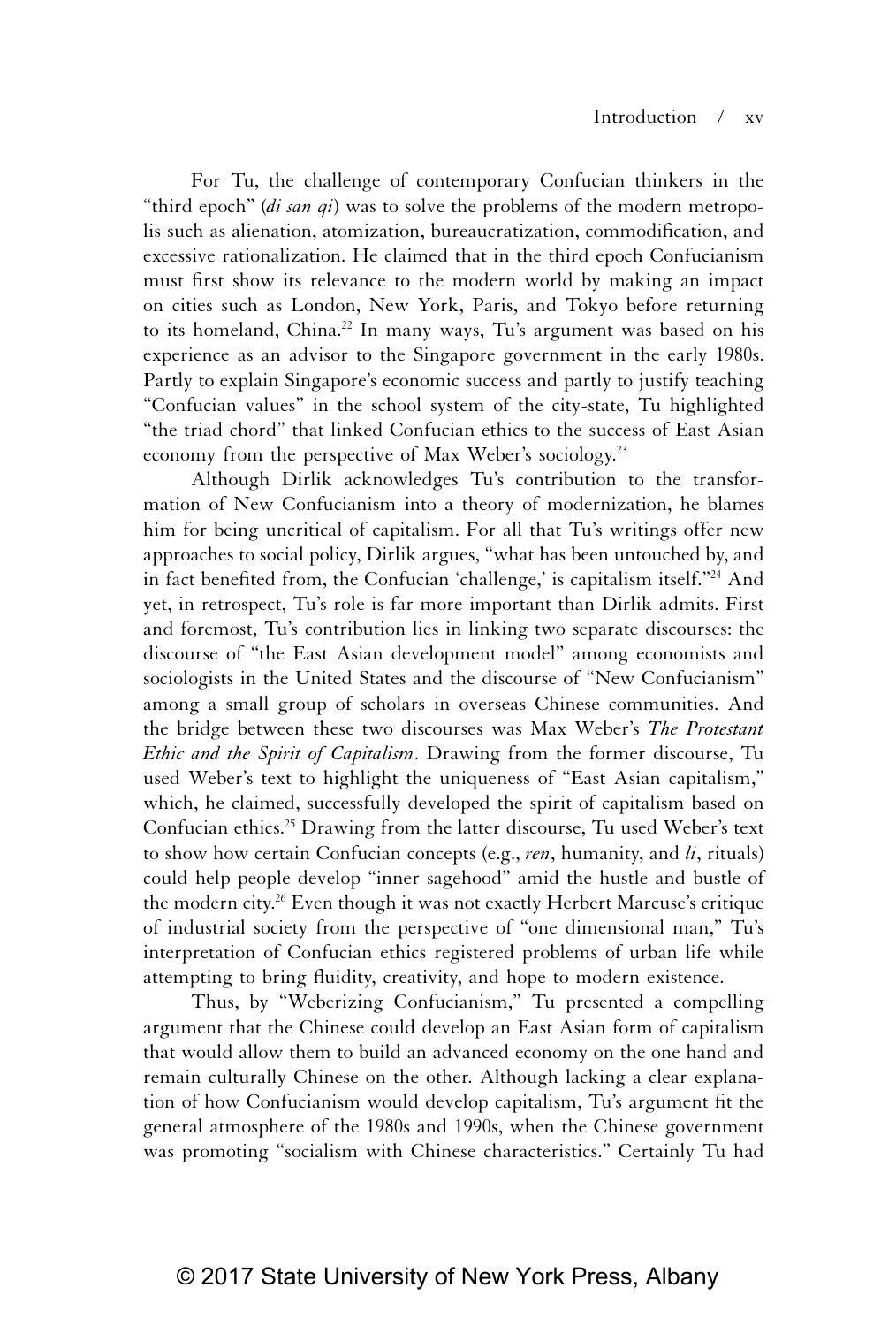For Tu, the challenge of contemporary Confucian thinkers in the "third epoch" (*di san qi*) was to solve the problems of the modern metropolis such as alienation, atomization, bureaucratization, commodification, and excessive rationalization. He claimed that in the third epoch Confucianism must first show its relevance to the modern world by making an impact on cities such as London, New York, Paris, and Tokyo before returning to its homeland, China.<sup>22</sup> In many ways, Tu's argument was based on his experience as an advisor to the Singapore government in the early 1980s. Partly to explain Singapore's economic success and partly to justify teaching "Confucian values" in the school system of the city-state, Tu highlighted "the triad chord" that linked Confucian ethics to the success of East Asian economy from the perspective of Max Weber's sociology.<sup>23</sup>

Although Dirlik acknowledges Tu's contribution to the transformation of New Confucianism into a theory of modernization, he blames him for being uncritical of capitalism. For all that Tu's writings offer new approaches to social policy, Dirlik argues, "what has been untouched by, and in fact benefited from, the Confucian 'challenge,' is capitalism itself."24 And yet, in retrospect, Tu's role is far more important than Dirlik admits. First and foremost, Tu's contribution lies in linking two separate discourses: the discourse of "the East Asian development model" among economists and sociologists in the United States and the discourse of "New Confucianism" among a small group of scholars in overseas Chinese communities. And the bridge between these two discourses was Max Weber's *The Protestant Ethic and the Spirit of Capitalism*. Drawing from the former discourse, Tu used Weber's text to highlight the uniqueness of "East Asian capitalism," which, he claimed, successfully developed the spirit of capitalism based on Confucian ethics.<sup>25</sup> Drawing from the latter discourse, Tu used Weber's text to show how certain Confucian concepts (e.g., *ren*, humanity, and *li*, rituals) could help people develop "inner sagehood" amid the hustle and bustle of the modern city.<sup>26</sup> Even though it was not exactly Herbert Marcuse's critique of industrial society from the perspective of "one dimensional man," Tu's interpretation of Confucian ethics registered problems of urban life while attempting to bring fluidity, creativity, and hope to modern existence.

Thus, by "Weberizing Confucianism," Tu presented a compelling argument that the Chinese could develop an East Asian form of capitalism that would allow them to build an advanced economy on the one hand and remain culturally Chinese on the other. Although lacking a clear explanation of how Confucianism would develop capitalism, Tu's argument fit the general atmosphere of the 1980s and 1990s, when the Chinese government was promoting "socialism with Chinese characteristics." Certainly Tu had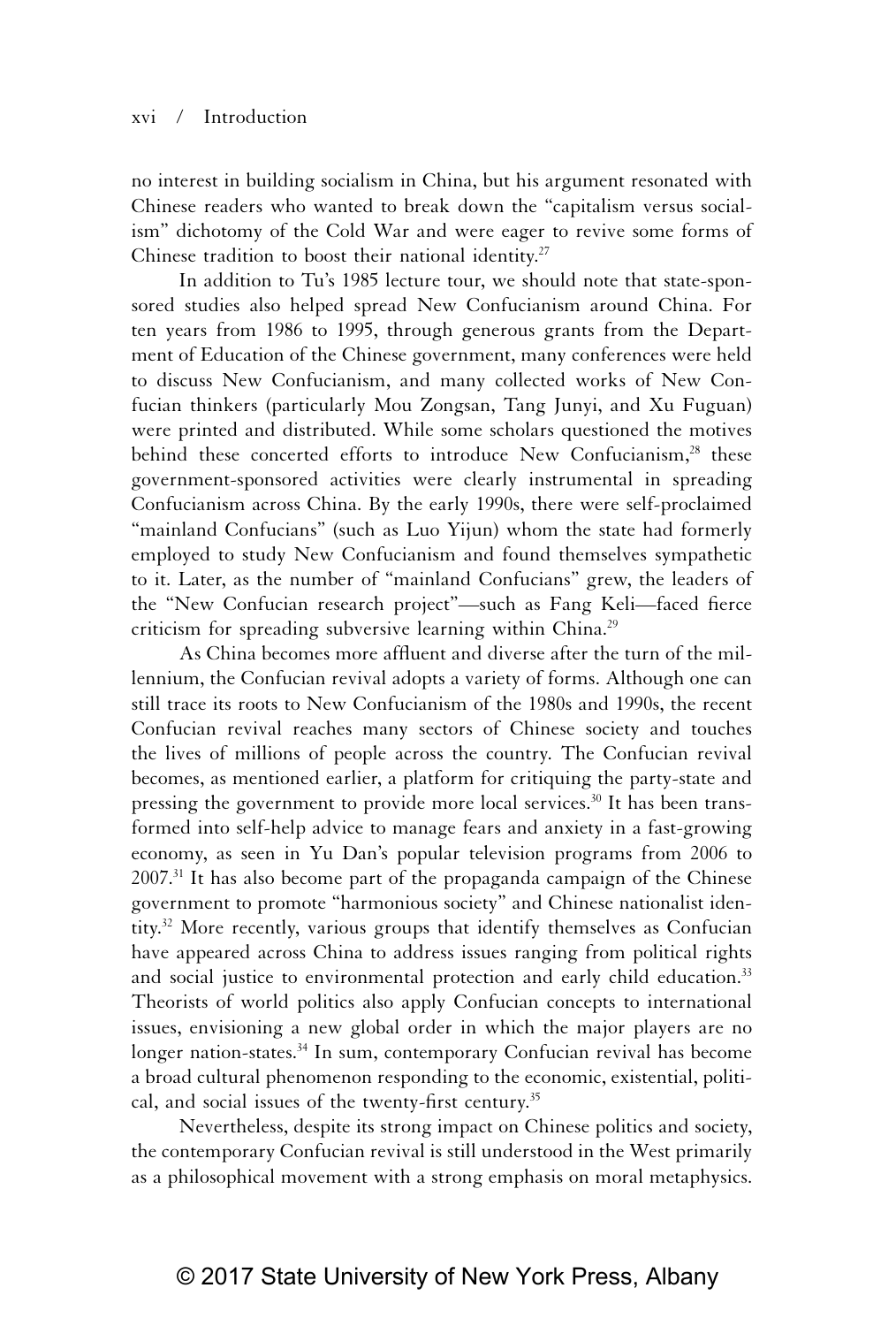#### xvi / Introduction

no interest in building socialism in China, but his argument resonated with Chinese readers who wanted to break down the "capitalism versus socialism" dichotomy of the Cold War and were eager to revive some forms of Chinese tradition to boost their national identity.<sup>27</sup>

In addition to Tu's 1985 lecture tour, we should note that state-sponsored studies also helped spread New Confucianism around China. For ten years from 1986 to 1995, through generous grants from the Department of Education of the Chinese government, many conferences were held to discuss New Confucianism, and many collected works of New Confucian thinkers (particularly Mou Zongsan, Tang Junyi, and Xu Fuguan) were printed and distributed. While some scholars questioned the motives behind these concerted efforts to introduce New Confucianism,<sup>28</sup> these government-sponsored activities were clearly instrumental in spreading Confucianism across China. By the early 1990s, there were self-proclaimed "mainland Confucians" (such as Luo Yijun) whom the state had formerly employed to study New Confucianism and found themselves sympathetic to it. Later, as the number of "mainland Confucians" grew, the leaders of the "New Confucian research project"—such as Fang Keli—faced fierce criticism for spreading subversive learning within China.29

As China becomes more affluent and diverse after the turn of the millennium, the Confucian revival adopts a variety of forms. Although one can still trace its roots to New Confucianism of the 1980s and 1990s, the recent Confucian revival reaches many sectors of Chinese society and touches the lives of millions of people across the country. The Confucian revival becomes, as mentioned earlier, a platform for critiquing the party-state and pressing the government to provide more local services.<sup>30</sup> It has been transformed into self-help advice to manage fears and anxiety in a fast-growing economy, as seen in Yu Dan's popular television programs from 2006 to  $2007<sup>31</sup>$  It has also become part of the propaganda campaign of the Chinese government to promote "harmonious society" and Chinese nationalist identity.32 More recently, various groups that identify themselves as Confucian have appeared across China to address issues ranging from political rights and social justice to environmental protection and early child education.<sup>33</sup> Theorists of world politics also apply Confucian concepts to international issues, envisioning a new global order in which the major players are no longer nation-states.<sup>34</sup> In sum, contemporary Confucian revival has become a broad cultural phenomenon responding to the economic, existential, political, and social issues of the twenty-first century.<sup>35</sup>

Nevertheless, despite its strong impact on Chinese politics and society, the contemporary Confucian revival is still understood in the West primarily as a philosophical movement with a strong emphasis on moral metaphysics.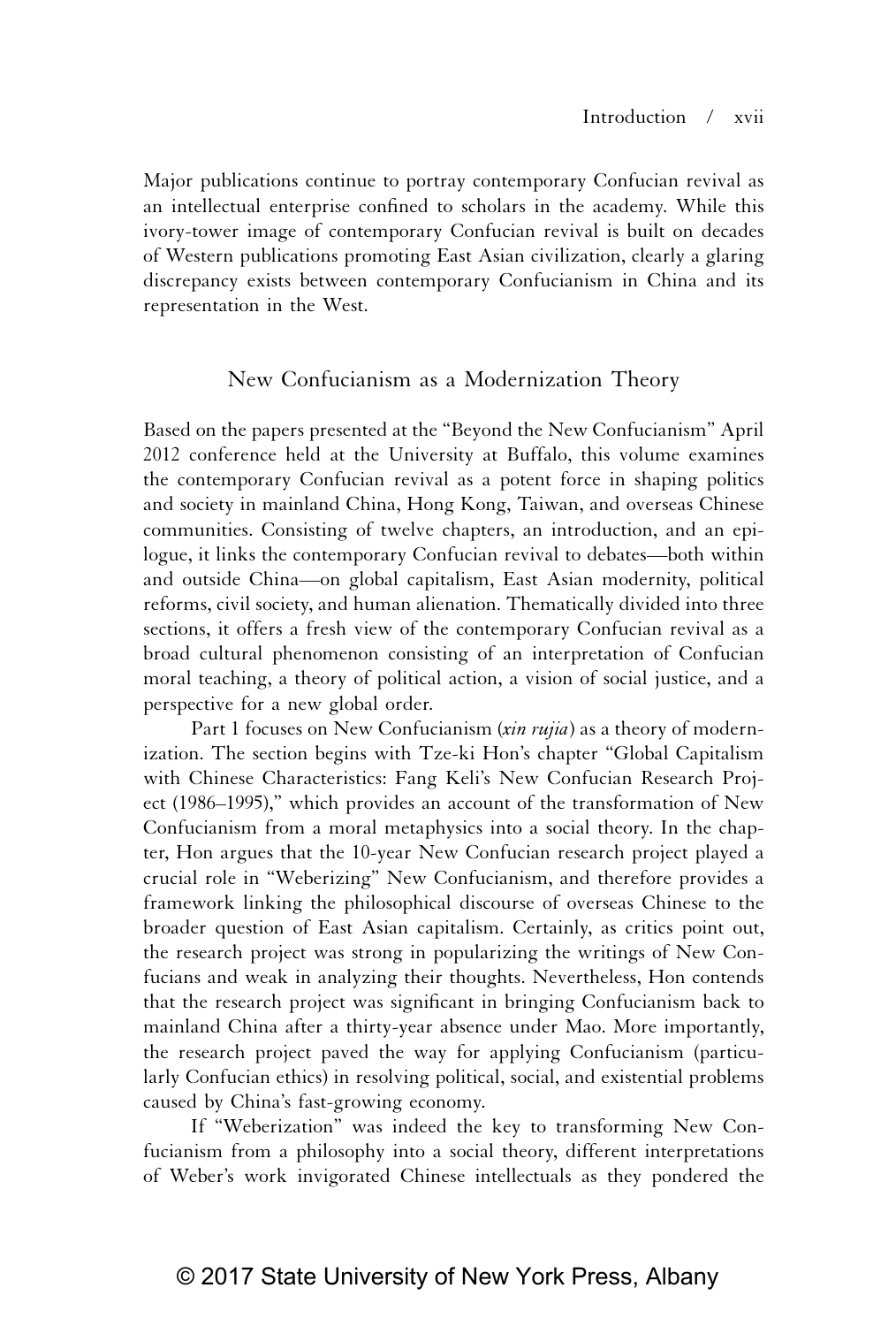Major publications continue to portray contemporary Confucian revival as an intellectual enterprise confined to scholars in the academy. While this ivory-tower image of contemporary Confucian revival is built on decades of Western publications promoting East Asian civilization, clearly a glaring discrepancy exists between contemporary Confucianism in China and its representation in the West.

### New Confucianism as a Modernization Theory

Based on the papers presented at the "Beyond the New Confucianism" April 2012 conference held at the University at Buffalo, this volume examines the contemporary Confucian revival as a potent force in shaping politics and society in mainland China, Hong Kong, Taiwan, and overseas Chinese communities. Consisting of twelve chapters, an introduction, and an epilogue, it links the contemporary Confucian revival to debates—both within and outside China—on global capitalism, East Asian modernity, political reforms, civil society, and human alienation. Thematically divided into three sections, it offers a fresh view of the contemporary Confucian revival as a broad cultural phenomenon consisting of an interpretation of Confucian moral teaching, a theory of political action, a vision of social justice, and a perspective for a new global order.

Part 1 focuses on New Confucianism (*xin rujia*) as a theory of modernization. The section begins with Tze-ki Hon's chapter "Global Capitalism with Chinese Characteristics: Fang Keli's New Confucian Research Project (1986–1995)," which provides an account of the transformation of New Confucianism from a moral metaphysics into a social theory. In the chapter, Hon argues that the 10-year New Confucian research project played a crucial role in "Weberizing" New Confucianism, and therefore provides a framework linking the philosophical discourse of overseas Chinese to the broader question of East Asian capitalism. Certainly, as critics point out, the research project was strong in popularizing the writings of New Confucians and weak in analyzing their thoughts. Nevertheless, Hon contends that the research project was significant in bringing Confucianism back to mainland China after a thirty-year absence under Mao. More importantly, the research project paved the way for applying Confucianism (particularly Confucian ethics) in resolving political, social, and existential problems caused by China's fast-growing economy.

If "Weberization" was indeed the key to transforming New Confucianism from a philosophy into a social theory, different interpretations of Weber's work invigorated Chinese intellectuals as they pondered the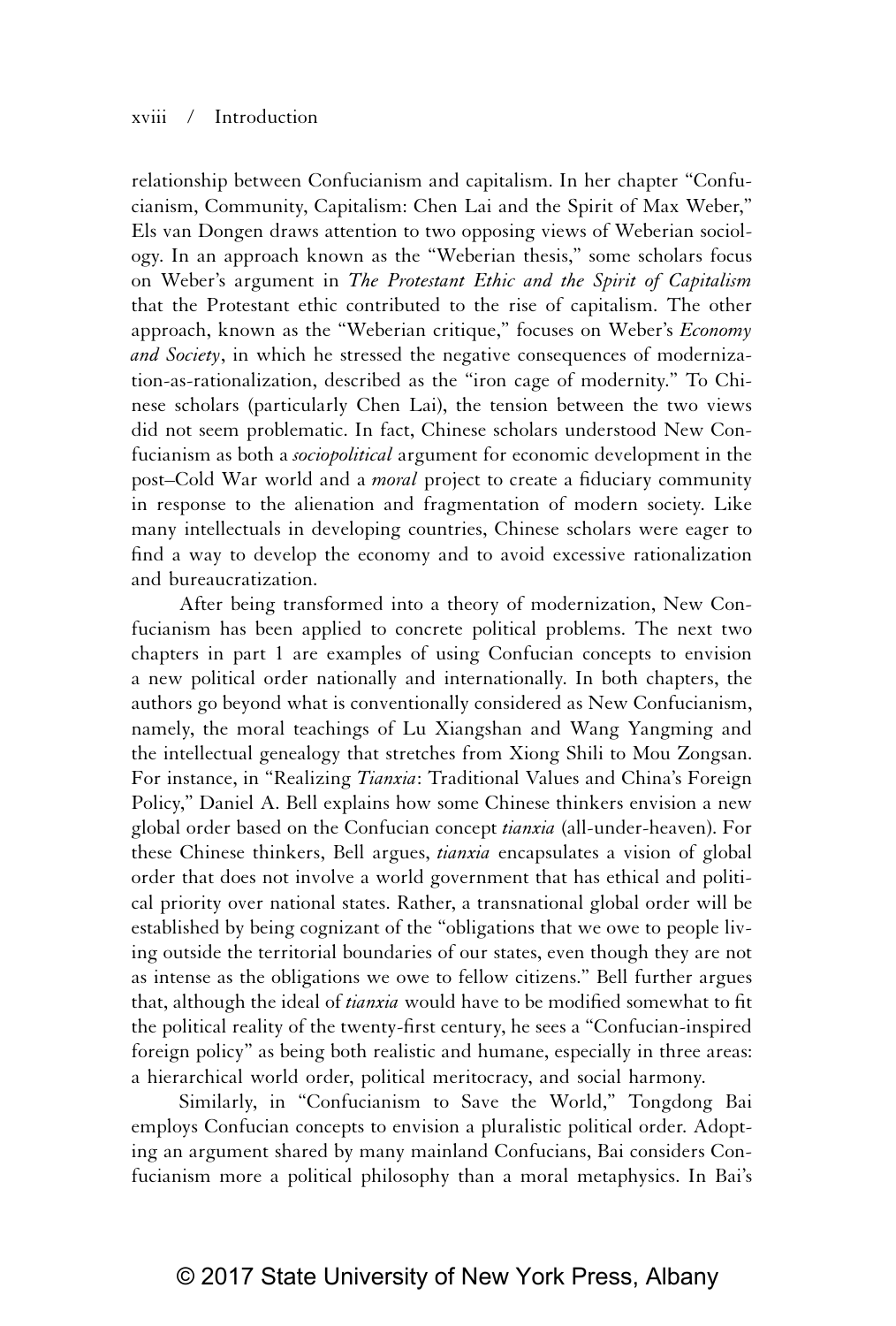relationship between Confucianism and capitalism. In her chapter "Confucianism, Community, Capitalism: Chen Lai and the Spirit of Max Weber," Els van Dongen draws attention to two opposing views of Weberian sociology. In an approach known as the "Weberian thesis," some scholars focus on Weber's argument in *The Protestant Ethic and the Spirit of Capitalism* that the Protestant ethic contributed to the rise of capitalism. The other approach, known as the "Weberian critique," focuses on Weber's *Economy and Society*, in which he stressed the negative consequences of modernization-as-rationalization, described as the "iron cage of modernity." To Chinese scholars (particularly Chen Lai), the tension between the two views did not seem problematic. In fact, Chinese scholars understood New Confucianism as both a *sociopolitical* argument for economic development in the post–Cold War world and a *moral* project to create a fiduciary community in response to the alienation and fragmentation of modern society. Like many intellectuals in developing countries, Chinese scholars were eager to find a way to develop the economy and to avoid excessive rationalization and bureaucratization.

After being transformed into a theory of modernization, New Confucianism has been applied to concrete political problems. The next two chapters in part 1 are examples of using Confucian concepts to envision a new political order nationally and internationally. In both chapters, the authors go beyond what is conventionally considered as New Confucianism, namely, the moral teachings of Lu Xiangshan and Wang Yangming and the intellectual genealogy that stretches from Xiong Shili to Mou Zongsan. For instance, in "Realizing *Tianxia*: Traditional Values and China's Foreign Policy," Daniel A. Bell explains how some Chinese thinkers envision a new global order based on the Confucian concept *tianxia* (all-under-heaven). For these Chinese thinkers, Bell argues, *tianxia* encapsulates a vision of global order that does not involve a world government that has ethical and political priority over national states. Rather, a transnational global order will be established by being cognizant of the "obligations that we owe to people living outside the territorial boundaries of our states, even though they are not as intense as the obligations we owe to fellow citizens." Bell further argues that, although the ideal of *tianxia* would have to be modified somewhat to fit the political reality of the twenty-first century, he sees a "Confucian-inspired foreign policy" as being both realistic and humane, especially in three areas: a hierarchical world order, political meritocracy, and social harmony.

Similarly, in "Confucianism to Save the World," Tongdong Bai employs Confucian concepts to envision a pluralistic political order. Adopting an argument shared by many mainland Confucians, Bai considers Confucianism more a political philosophy than a moral metaphysics. In Bai's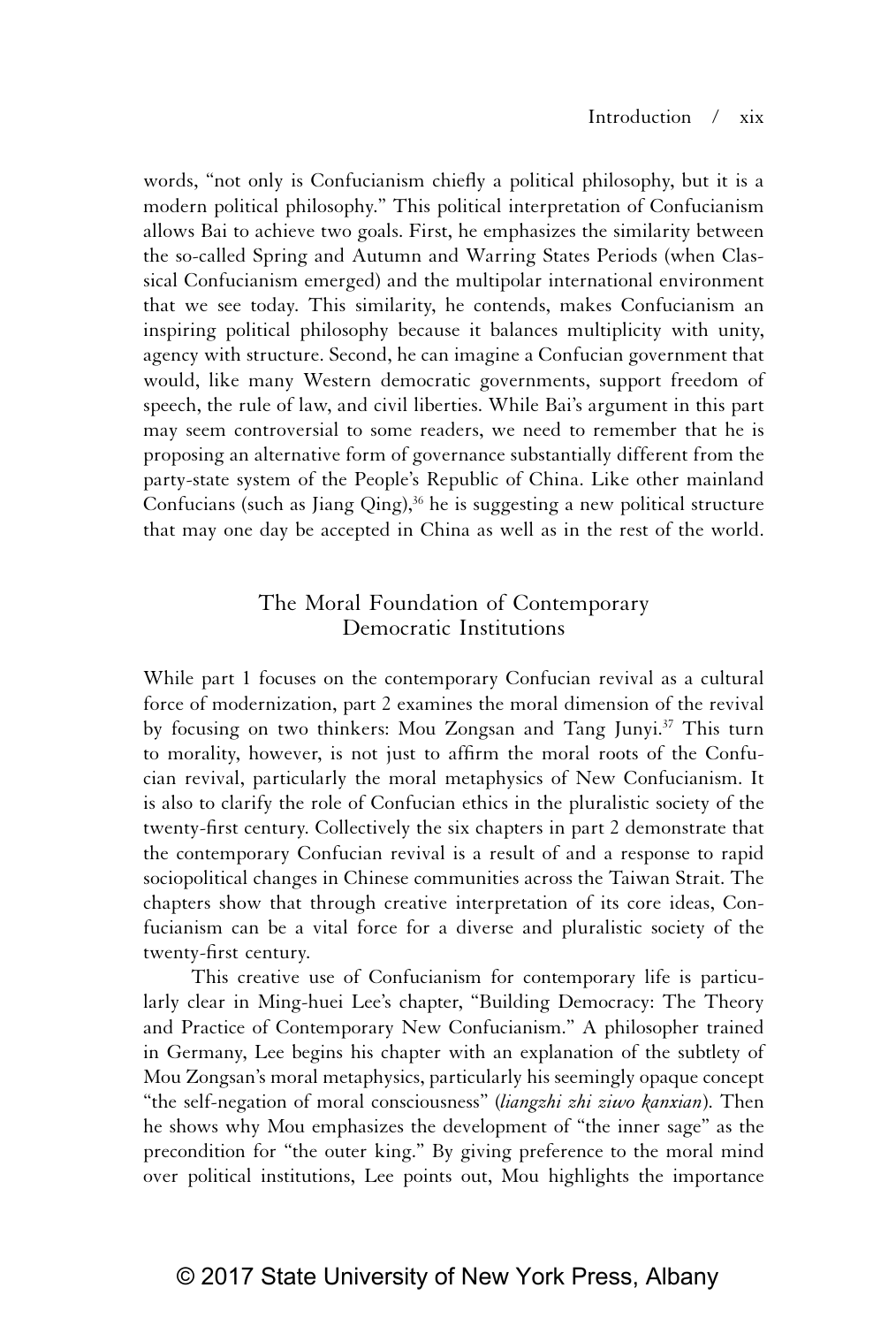words, "not only is Confucianism chiefly a political philosophy, but it is a modern political philosophy." This political interpretation of Confucianism allows Bai to achieve two goals. First, he emphasizes the similarity between the so-called Spring and Autumn and Warring States Periods (when Classical Confucianism emerged) and the multipolar international environment that we see today. This similarity, he contends, makes Confucianism an inspiring political philosophy because it balances multiplicity with unity, agency with structure. Second, he can imagine a Confucian government that would, like many Western democratic governments, support freedom of speech, the rule of law, and civil liberties. While Bai's argument in this part may seem controversial to some readers, we need to remember that he is proposing an alternative form of governance substantially different from the party-state system of the People's Republic of China. Like other mainland Confucians (such as Jiang Qing), $36$  he is suggesting a new political structure that may one day be accepted in China as well as in the rest of the world.

### The Moral Foundation of Contemporary Democratic Institutions

While part 1 focuses on the contemporary Confucian revival as a cultural force of modernization, part 2 examines the moral dimension of the revival by focusing on two thinkers: Mou Zongsan and Tang Junyi.<sup>37</sup> This turn to morality, however, is not just to affirm the moral roots of the Confucian revival, particularly the moral metaphysics of New Confucianism. It is also to clarify the role of Confucian ethics in the pluralistic society of the twenty-first century. Collectively the six chapters in part 2 demonstrate that the contemporary Confucian revival is a result of and a response to rapid sociopolitical changes in Chinese communities across the Taiwan Strait. The chapters show that through creative interpretation of its core ideas, Confucianism can be a vital force for a diverse and pluralistic society of the twenty-first century.

This creative use of Confucianism for contemporary life is particularly clear in Ming-huei Lee's chapter, "Building Democracy: The Theory and Practice of Contemporary New Confucianism." A philosopher trained in Germany, Lee begins his chapter with an explanation of the subtlety of Mou Zongsan's moral metaphysics, particularly his seemingly opaque concept "the self-negation of moral consciousness" (*liangzhi zhi ziwo kanxian*). Then he shows why Mou emphasizes the development of "the inner sage" as the precondition for "the outer king." By giving preference to the moral mind over political institutions, Lee points out, Mou highlights the importance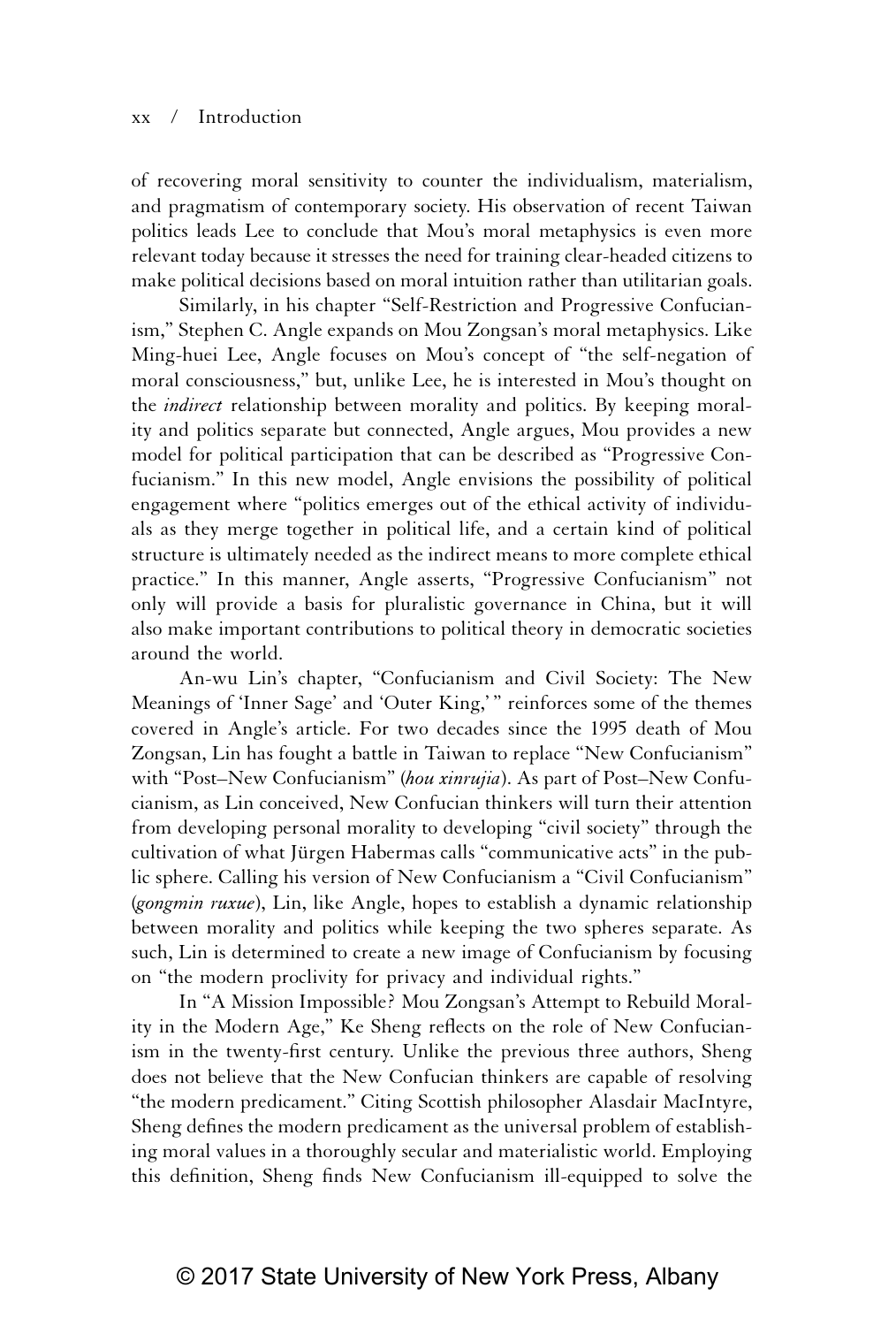#### xx / Introduction

of recovering moral sensitivity to counter the individualism, materialism, and pragmatism of contemporary society. His observation of recent Taiwan politics leads Lee to conclude that Mou's moral metaphysics is even more relevant today because it stresses the need for training clear-headed citizens to make political decisions based on moral intuition rather than utilitarian goals.

Similarly, in his chapter "Self-Restriction and Progressive Confucianism," Stephen C. Angle expands on Mou Zongsan's moral metaphysics. Like Ming-huei Lee, Angle focuses on Mou's concept of "the self-negation of moral consciousness," but, unlike Lee, he is interested in Mou's thought on the *indirect* relationship between morality and politics. By keeping morality and politics separate but connected, Angle argues, Mou provides a new model for political participation that can be described as "Progressive Confucianism." In this new model, Angle envisions the possibility of political engagement where "politics emerges out of the ethical activity of individuals as they merge together in political life, and a certain kind of political structure is ultimately needed as the indirect means to more complete ethical practice." In this manner, Angle asserts, "Progressive Confucianism" not only will provide a basis for pluralistic governance in China, but it will also make important contributions to political theory in democratic societies around the world.

An-wu Lin's chapter, "Confucianism and Civil Society: The New Meanings of 'Inner Sage' and 'Outer King,'" reinforces some of the themes covered in Angle's article. For two decades since the 1995 death of Mou Zongsan, Lin has fought a battle in Taiwan to replace "New Confucianism" with "Post–New Confucianism" (*hou xinrujia*). As part of Post–New Confucianism, as Lin conceived, New Confucian thinkers will turn their attention from developing personal morality to developing "civil society" through the cultivation of what Jürgen Habermas calls "communicative acts" in the public sphere. Calling his version of New Confucianism a "Civil Confucianism" (*gongmin ruxue*), Lin, like Angle, hopes to establish a dynamic relationship between morality and politics while keeping the two spheres separate. As such, Lin is determined to create a new image of Confucianism by focusing on "the modern proclivity for privacy and individual rights."

In "A Mission Impossible? Mou Zongsan's Attempt to Rebuild Morality in the Modern Age," Ke Sheng reflects on the role of New Confucianism in the twenty-first century. Unlike the previous three authors, Sheng does not believe that the New Confucian thinkers are capable of resolving "the modern predicament." Citing Scottish philosopher Alasdair MacIntyre, Sheng defines the modern predicament as the universal problem of establishing moral values in a thoroughly secular and materialistic world. Employing this definition, Sheng finds New Confucianism ill-equipped to solve the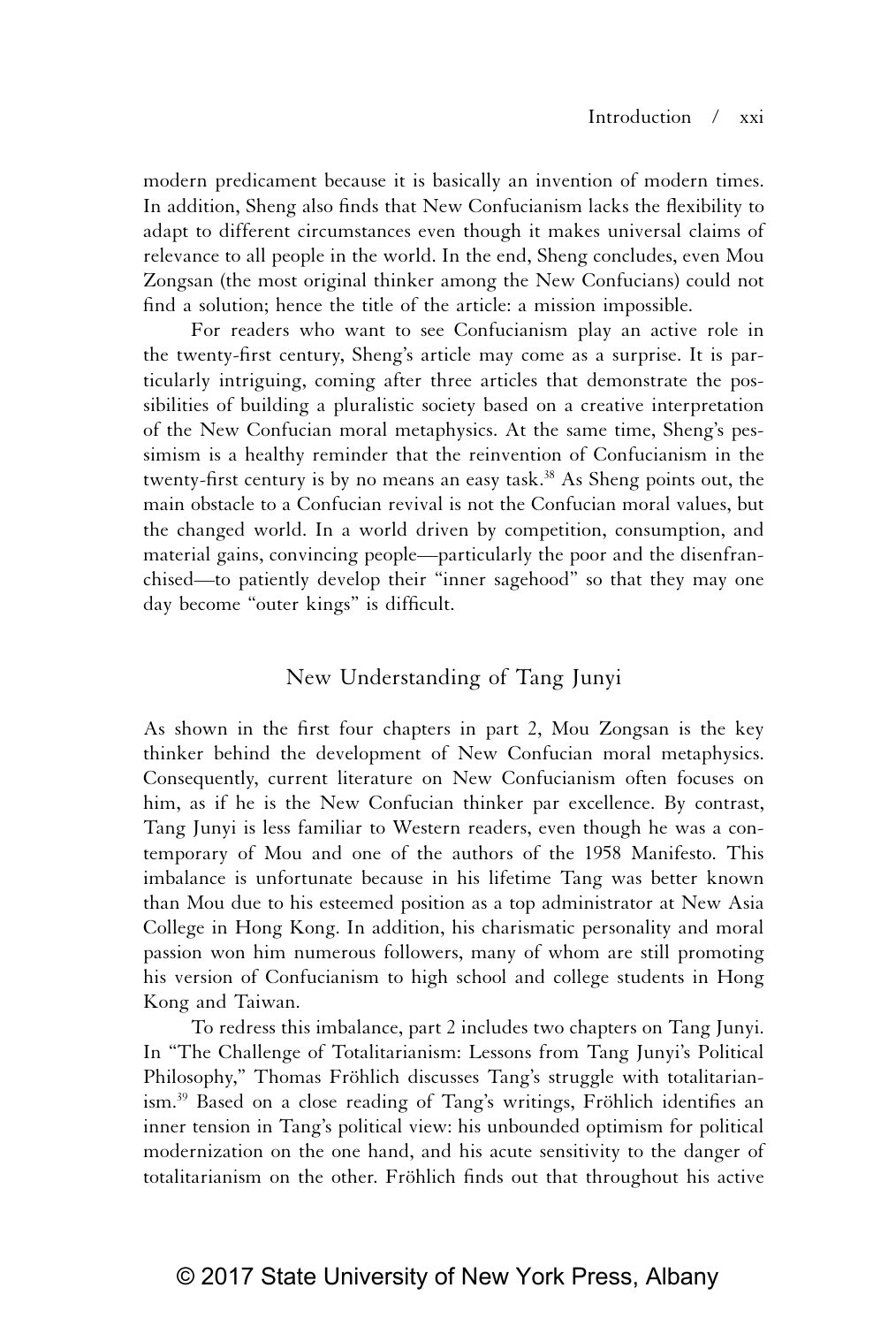modern predicament because it is basically an invention of modern times. In addition, Sheng also finds that New Confucianism lacks the flexibility to adapt to different circumstances even though it makes universal claims of relevance to all people in the world. In the end, Sheng concludes, even Mou Zongsan (the most original thinker among the New Confucians) could not find a solution; hence the title of the article: a mission impossible.

For readers who want to see Confucianism play an active role in the twenty-first century, Sheng's article may come as a surprise. It is particularly intriguing, coming after three articles that demonstrate the possibilities of building a pluralistic society based on a creative interpretation of the New Confucian moral metaphysics. At the same time, Sheng's pessimism is a healthy reminder that the reinvention of Confucianism in the twenty-first century is by no means an easy task.<sup>38</sup> As Sheng points out, the main obstacle to a Confucian revival is not the Confucian moral values, but the changed world. In a world driven by competition, consumption, and material gains, convincing people—particularly the poor and the disenfranchised—to patiently develop their "inner sagehood" so that they may one day become "outer kings" is difficult.

### New Understanding of Tang Junyi

As shown in the first four chapters in part 2, Mou Zongsan is the key thinker behind the development of New Confucian moral metaphysics. Consequently, current literature on New Confucianism often focuses on him, as if he is the New Confucian thinker par excellence. By contrast, Tang Junyi is less familiar to Western readers, even though he was a contemporary of Mou and one of the authors of the 1958 Manifesto. This imbalance is unfortunate because in his lifetime Tang was better known than Mou due to his esteemed position as a top administrator at New Asia College in Hong Kong. In addition, his charismatic personality and moral passion won him numerous followers, many of whom are still promoting his version of Confucianism to high school and college students in Hong Kong and Taiwan.

To redress this imbalance, part 2 includes two chapters on Tang Junyi. In "The Challenge of Totalitarianism: Lessons from Tang Junyi's Political Philosophy," Thomas Fröhlich discusses Tang's struggle with totalitarianism.39 Based on a close reading of Tang's writings, Fröhlich identifies an inner tension in Tang's political view: his unbounded optimism for political modernization on the one hand, and his acute sensitivity to the danger of totalitarianism on the other. Fröhlich finds out that throughout his active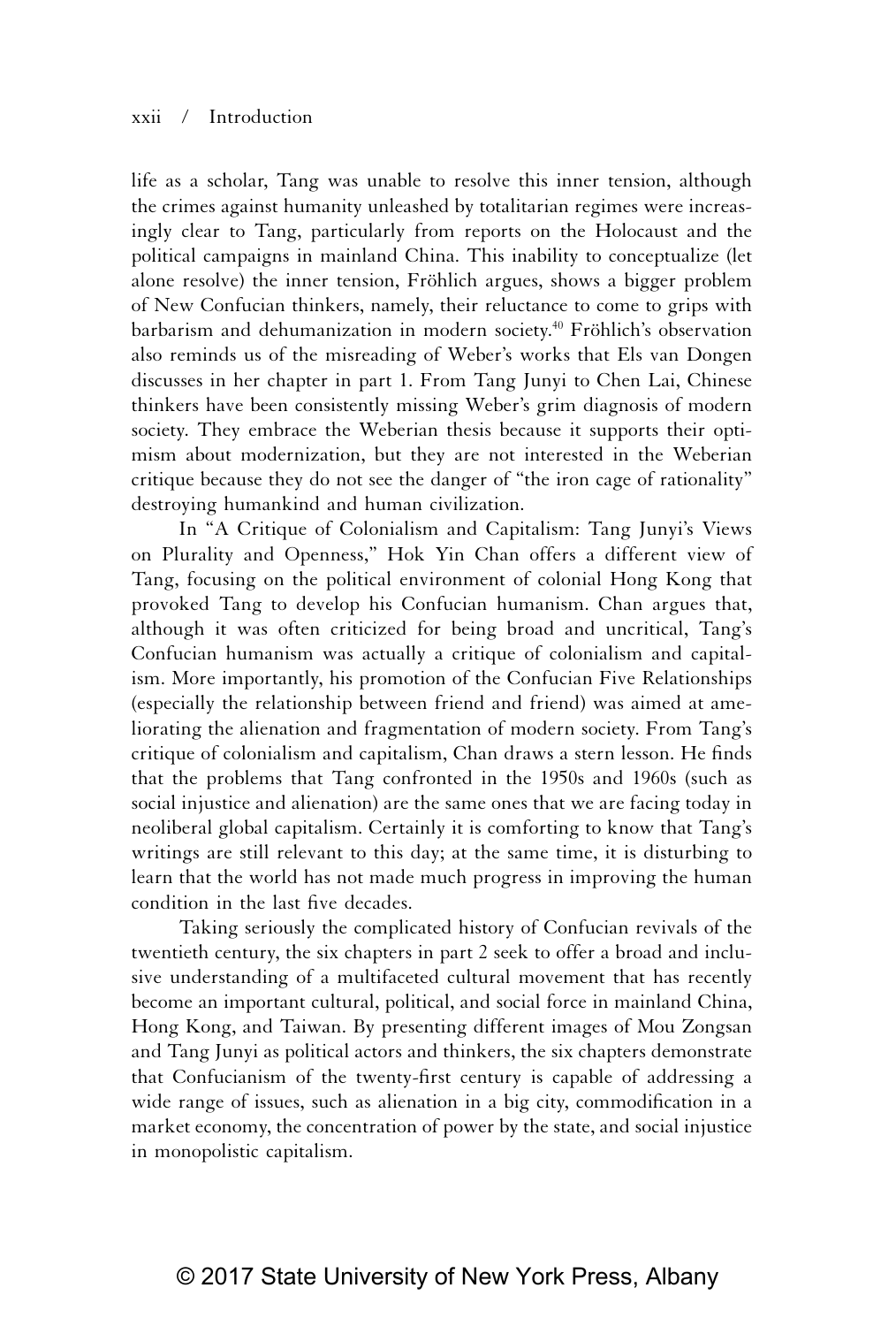life as a scholar, Tang was unable to resolve this inner tension, although the crimes against humanity unleashed by totalitarian regimes were increasingly clear to Tang, particularly from reports on the Holocaust and the political campaigns in mainland China. This inability to conceptualize (let alone resolve) the inner tension, Fröhlich argues, shows a bigger problem of New Confucian thinkers, namely, their reluctance to come to grips with barbarism and dehumanization in modern society.<sup>40</sup> Fröhlich's observation also reminds us of the misreading of Weber's works that Els van Dongen discusses in her chapter in part 1. From Tang Junyi to Chen Lai, Chinese thinkers have been consistently missing Weber's grim diagnosis of modern society. They embrace the Weberian thesis because it supports their optimism about modernization, but they are not interested in the Weberian critique because they do not see the danger of "the iron cage of rationality" destroying humankind and human civilization.

In "A Critique of Colonialism and Capitalism: Tang Junyi's Views on Plurality and Openness," Hok Yin Chan offers a different view of Tang, focusing on the political environment of colonial Hong Kong that provoked Tang to develop his Confucian humanism. Chan argues that, although it was often criticized for being broad and uncritical, Tang's Confucian humanism was actually a critique of colonialism and capitalism. More importantly, his promotion of the Confucian Five Relationships (especially the relationship between friend and friend) was aimed at ameliorating the alienation and fragmentation of modern society. From Tang's critique of colonialism and capitalism, Chan draws a stern lesson. He finds that the problems that Tang confronted in the 1950s and 1960s (such as social injustice and alienation) are the same ones that we are facing today in neoliberal global capitalism. Certainly it is comforting to know that Tang's writings are still relevant to this day; at the same time, it is disturbing to learn that the world has not made much progress in improving the human condition in the last five decades.

Taking seriously the complicated history of Confucian revivals of the twentieth century, the six chapters in part 2 seek to offer a broad and inclusive understanding of a multifaceted cultural movement that has recently become an important cultural, political, and social force in mainland China, Hong Kong, and Taiwan. By presenting different images of Mou Zongsan and Tang Junyi as political actors and thinkers, the six chapters demonstrate that Confucianism of the twenty-first century is capable of addressing a wide range of issues, such as alienation in a big city, commodification in a market economy, the concentration of power by the state, and social injustice in monopolistic capitalism.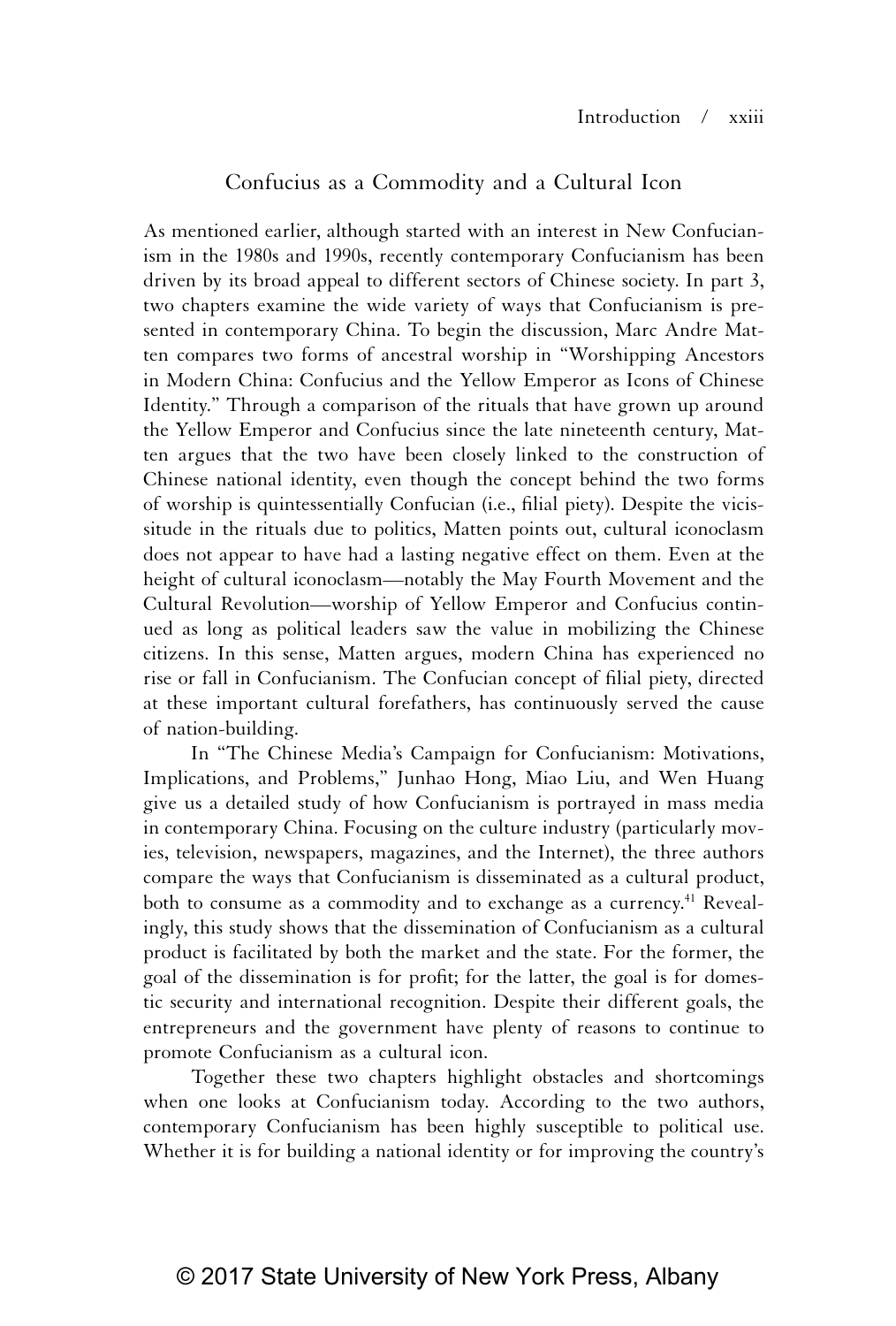### Confucius as a Commodity and a Cultural Icon

As mentioned earlier, although started with an interest in New Confucianism in the 1980s and 1990s, recently contemporary Confucianism has been driven by its broad appeal to different sectors of Chinese society. In part 3, two chapters examine the wide variety of ways that Confucianism is presented in contemporary China. To begin the discussion, Marc Andre Matten compares two forms of ancestral worship in "Worshipping Ancestors in Modern China: Confucius and the Yellow Emperor as Icons of Chinese Identity." Through a comparison of the rituals that have grown up around the Yellow Emperor and Confucius since the late nineteenth century, Matten argues that the two have been closely linked to the construction of Chinese national identity, even though the concept behind the two forms of worship is quintessentially Confucian (i.e., filial piety). Despite the vicissitude in the rituals due to politics, Matten points out, cultural iconoclasm does not appear to have had a lasting negative effect on them. Even at the height of cultural iconoclasm—notably the May Fourth Movement and the Cultural Revolution—worship of Yellow Emperor and Confucius continued as long as political leaders saw the value in mobilizing the Chinese citizens. In this sense, Matten argues, modern China has experienced no rise or fall in Confucianism. The Confucian concept of filial piety, directed at these important cultural forefathers, has continuously served the cause of nation-building.

In "The Chinese Media's Campaign for Confucianism: Motivations, Implications, and Problems," Junhao Hong, Miao Liu, and Wen Huang give us a detailed study of how Confucianism is portrayed in mass media in contemporary China. Focusing on the culture industry (particularly movies, television, newspapers, magazines, and the Internet), the three authors compare the ways that Confucianism is disseminated as a cultural product, both to consume as a commodity and to exchange as a currency.<sup>41</sup> Revealingly, this study shows that the dissemination of Confucianism as a cultural product is facilitated by both the market and the state. For the former, the goal of the dissemination is for profit; for the latter, the goal is for domestic security and international recognition. Despite their different goals, the entrepreneurs and the government have plenty of reasons to continue to promote Confucianism as a cultural icon.

Together these two chapters highlight obstacles and shortcomings when one looks at Confucianism today. According to the two authors, contemporary Confucianism has been highly susceptible to political use. Whether it is for building a national identity or for improving the country's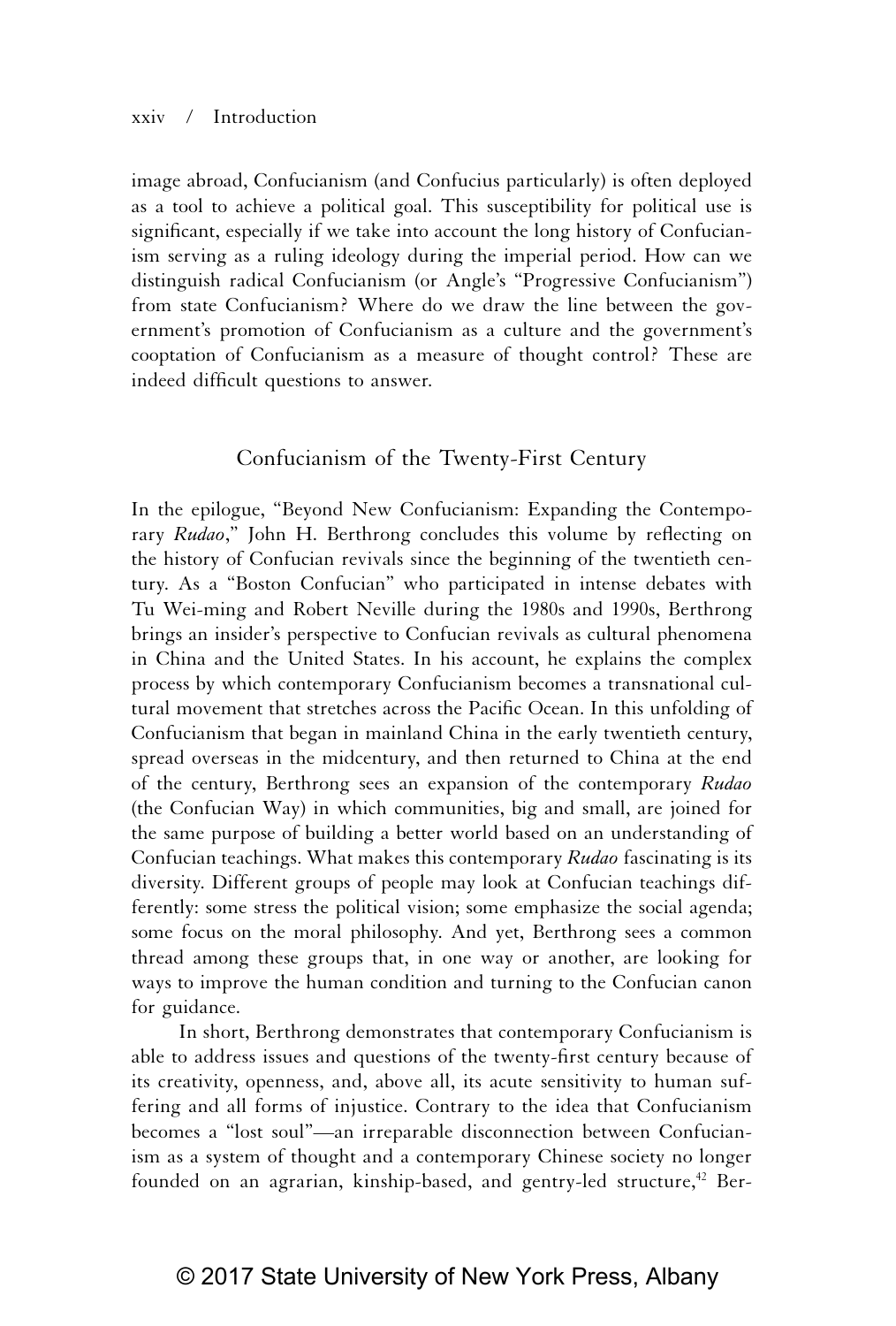#### xxiv / Introduction

image abroad, Confucianism (and Confucius particularly) is often deployed as a tool to achieve a political goal. This susceptibility for political use is significant, especially if we take into account the long history of Confucianism serving as a ruling ideology during the imperial period. How can we distinguish radical Confucianism (or Angle's "Progressive Confucianism") from state Confucianism? Where do we draw the line between the government's promotion of Confucianism as a culture and the government's cooptation of Confucianism as a measure of thought control? These are indeed difficult questions to answer.

### Confucianism of the Twenty-First Century

In the epilogue, "Beyond New Confucianism: Expanding the Contemporary *Rudao*," John H. Berthrong concludes this volume by reflecting on the history of Confucian revivals since the beginning of the twentieth century. As a "Boston Confucian" who participated in intense debates with Tu Wei-ming and Robert Neville during the 1980s and 1990s, Berthrong brings an insider's perspective to Confucian revivals as cultural phenomena in China and the United States. In his account, he explains the complex process by which contemporary Confucianism becomes a transnational cultural movement that stretches across the Pacific Ocean. In this unfolding of Confucianism that began in mainland China in the early twentieth century, spread overseas in the midcentury, and then returned to China at the end of the century, Berthrong sees an expansion of the contemporary *Rudao*  (the Confucian Way) in which communities, big and small, are joined for the same purpose of building a better world based on an understanding of Confucian teachings. What makes this contemporary *Rudao* fascinating is its diversity. Different groups of people may look at Confucian teachings differently: some stress the political vision; some emphasize the social agenda; some focus on the moral philosophy. And yet, Berthrong sees a common thread among these groups that, in one way or another, are looking for ways to improve the human condition and turning to the Confucian canon for guidance.

In short, Berthrong demonstrates that contemporary Confucianism is able to address issues and questions of the twenty-first century because of its creativity, openness, and, above all, its acute sensitivity to human suffering and all forms of injustice. Contrary to the idea that Confucianism becomes a "lost soul"—an irreparable disconnection between Confucianism as a system of thought and a contemporary Chinese society no longer founded on an agrarian, kinship-based, and gentry-led structure,<sup>42</sup> Ber-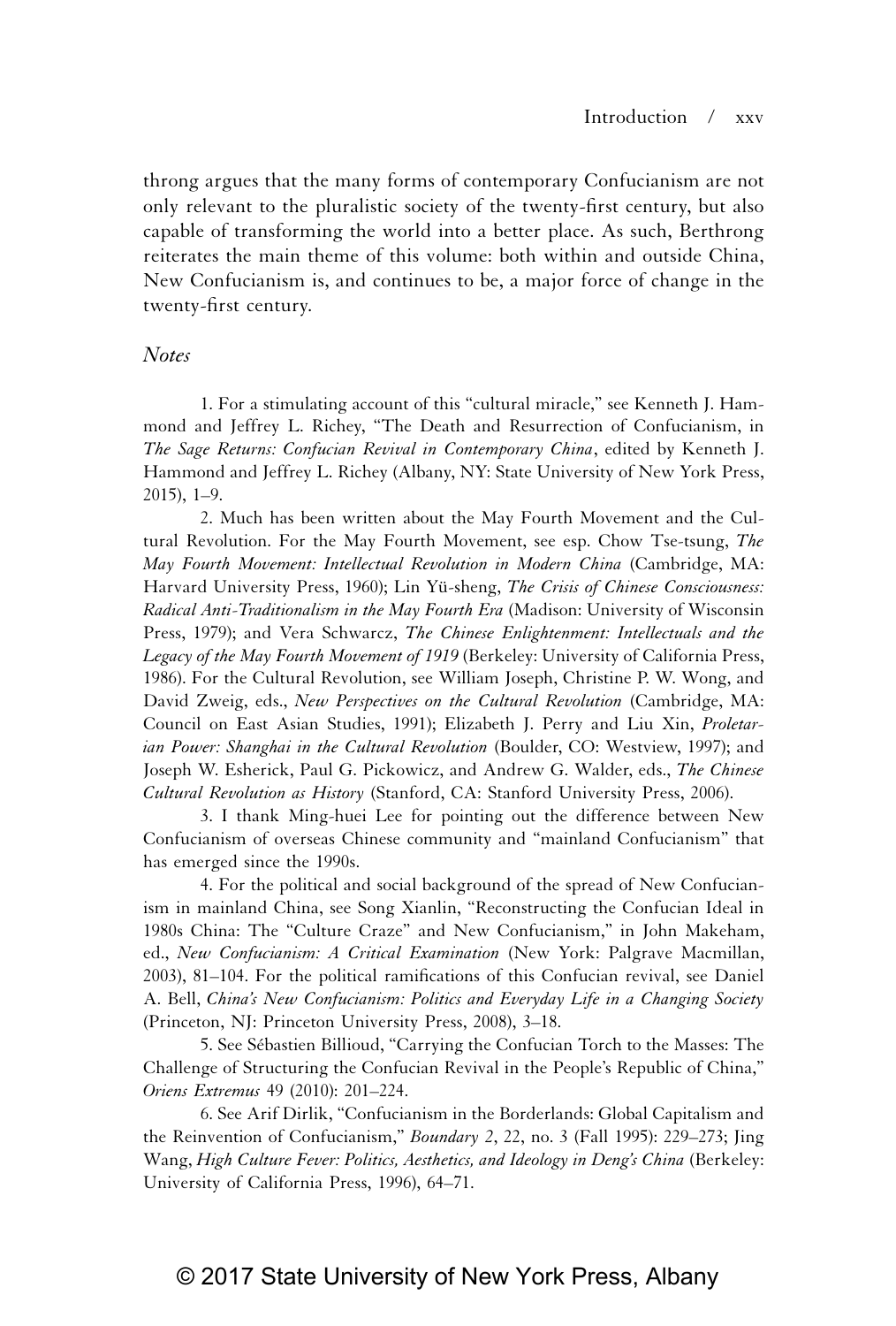throng argues that the many forms of contemporary Confucianism are not only relevant to the pluralistic society of the twenty-first century, but also capable of transforming the world into a better place. As such, Berthrong reiterates the main theme of this volume: both within and outside China, New Confucianism is, and continues to be, a major force of change in the twenty-first century.

#### *Notes*

 1. For a stimulating account of this "cultural miracle," see Kenneth J. Hammond and Jeffrey L. Richey, "The Death and Resurrection of Confucianism, in *The Sage Returns: Confucian Revival in Contemporary China*, edited by Kenneth J. Hammond and Jeffrey L. Richey (Albany, NY: State University of New York Press, 2015), 1–9.

 2. Much has been written about the May Fourth Movement and the Cultural Revolution. For the May Fourth Movement, see esp. Chow Tse-tsung, *The May Fourth Movement: Intellectual Revolution in Modern China* (Cambridge, MA: Harvard University Press, 1960); Lin Yü-sheng, *The Crisis of Chinese Consciousness: Radical Anti-Traditionalism in the May Fourth Era* (Madison: University of Wisconsin Press, 1979); and Vera Schwarcz, *The Chinese Enlightenment: Intellectuals and the Legacy of the May Fourth Movement of 1919* (Berkeley: University of California Press, 1986). For the Cultural Revolution, see William Joseph, Christine P. W. Wong, and David Zweig, eds., *New Perspectives on the Cultural Revolution* (Cambridge, MA: Council on East Asian Studies, 1991); Elizabeth J. Perry and Liu Xin, *Proletarian Power: Shanghai in the Cultural Revolution* (Boulder, CO: Westview, 1997); and Joseph W. Esherick, Paul G. Pickowicz, and Andrew G. Walder, eds., *The Chinese Cultural Revolution as History* (Stanford, CA: Stanford University Press, 2006).

 3. I thank Ming-huei Lee for pointing out the difference between New Confucianism of overseas Chinese community and "mainland Confucianism" that has emerged since the 1990s.

 4. For the political and social background of the spread of New Confucianism in mainland China, see Song Xianlin, "Reconstructing the Confucian Ideal in 1980s China: The "Culture Craze" and New Confucianism," in John Makeham, ed., *New Confucianism: A Critical Examination* (New York: Palgrave Macmillan, 2003), 81–104. For the political ramifications of this Confucian revival, see Daniel A. Bell, *China's New Confucianism: Politics and Everyday Life in a Changing Society*  (Princeton, NJ: Princeton University Press, 2008), 3–18.

 5. See Sébastien Billioud, "Carrying the Confucian Torch to the Masses: The Challenge of Structuring the Confucian Revival in the People's Republic of China," *Oriens Extremus* 49 (2010): 201–224.

 6. See Arif Dirlik, "Confucianism in the Borderlands: Global Capitalism and the Reinvention of Confucianism," *Boundary 2*, 22, no. 3 (Fall 1995): 229–273; Jing Wang, *High Culture Fever: Politics, Aesthetics, and Ideology in Deng's China* (Berkeley: University of California Press, 1996), 64–71.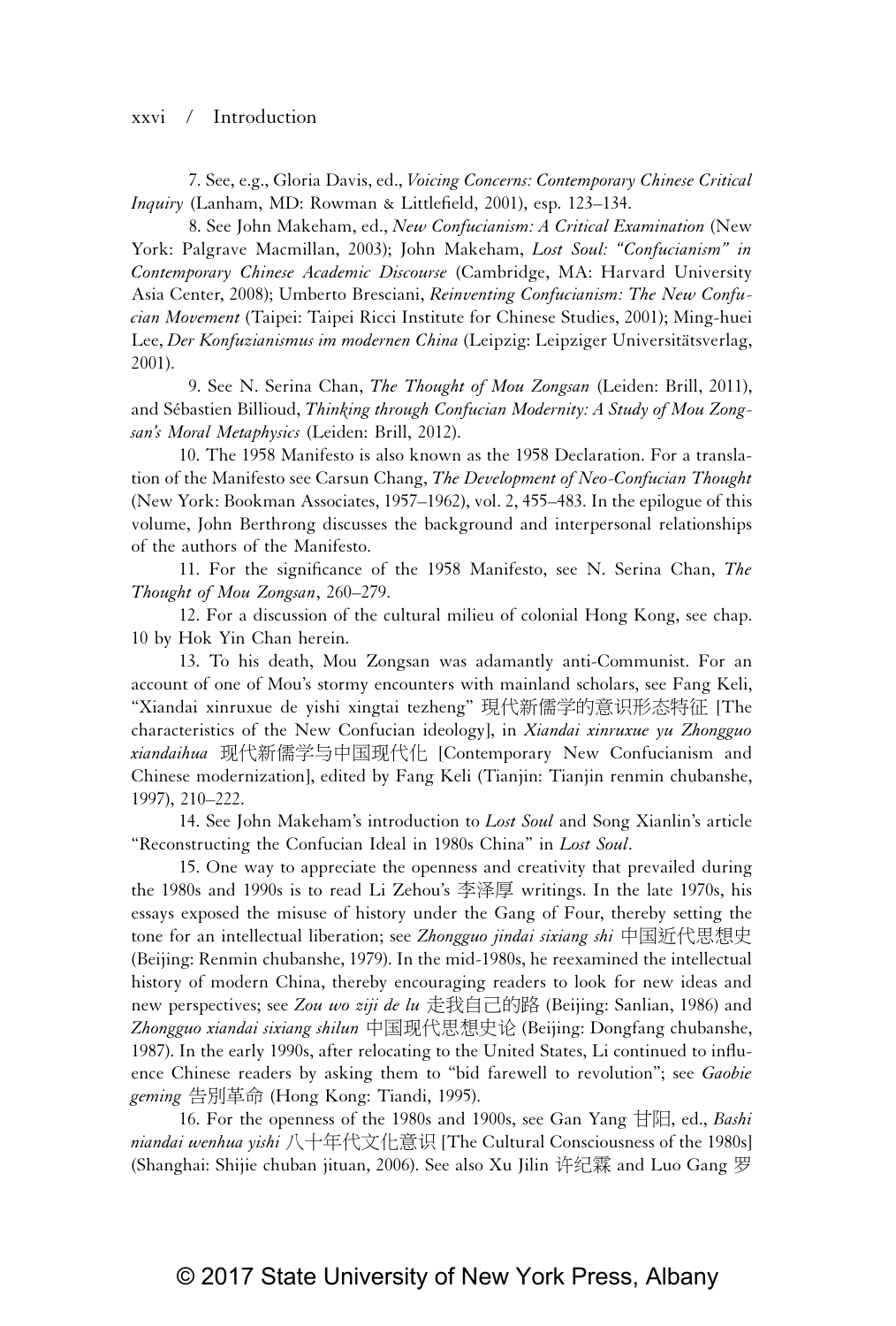#### xxvi / Introduction

 7. See, e.g., Gloria Davis, ed., *Voicing Concerns: Contemporary Chinese Critical Inquiry* (Lanham, MD: Rowman & Littlefield, 2001), esp. 123–134.

 8. See John Makeham, ed., *New Confucianism: A Critical Examination* (New York: Palgrave Macmillan, 2003); John Makeham, *Lost Soul: "Confucianism" in Contemporary Chinese Academic Discourse* (Cambridge, MA: Harvard University Asia Center, 2008); Umberto Bresciani, *Reinventing Confucianism: The New Confucian Movement* (Taipei: Taipei Ricci Institute for Chinese Studies, 2001); Ming-huei Lee, *Der Konfuzianismus im modernen China* (Leipzig: Leipziger Universitätsverlag, 2001).

 9. See N. Serina Chan, *The Thought of Mou Zongsan* (Leiden: Brill, 2011), and Sébastien Billioud, *Thinking through Confucian Modernity: A Study of Mou Zongsan's Moral Metaphysics* (Leiden: Brill, 2012).

10. The 1958 Manifesto is also known as the 1958 Declaration. For a translation of the Manifesto see Carsun Chang, *The Development of Neo-Confucian Thought* (New York: Bookman Associates, 1957–1962), vol. 2, 455–483. In the epilogue of this volume, John Berthrong discusses the background and interpersonal relationships of the authors of the Manifesto.

11. For the significance of the 1958 Manifesto, see N. Serina Chan, *The Thought of Mou Zongsan*, 260–279.

12. For a discussion of the cultural milieu of colonial Hong Kong, see chap. 10 by Hok Yin Chan herein.

13. To his death, Mou Zongsan was adamantly anti-Communist. For an account of one of Mou's stormy encounters with mainland scholars, see Fang Keli, "Xiandai xinruxue de yishi xingtai tezheng" 現代新儒学的意识形态特征 [The characteristics of the New Confucian ideology], in *Xiandai xinruxue yu Zhongguo xiandaihua* 䍘ẋ㕘₺⬎ᶶᷕ⚥䍘ẋ⊾ [Contemporary New Confucianism and Chinese modernization], edited by Fang Keli (Tianjin: Tianjin renmin chubanshe, 1997), 210–222.

14. See John Makeham's introduction to *Lost Soul* and Song Xianlin's article "Reconstructing the Confucian Ideal in 1980s China" in *Lost Soul*.

15. One way to appreciate the openness and creativity that prevailed during the 1980s and 1990s is to read Li Zehou's 李泽厚 writings. In the late 1970s, his essays exposed the misuse of history under the Gang of Four, thereby setting the tone for an intellectual liberation; see *Zhongguo jindai sixiang shi* 中国近代思想史 (Beijing: Renmin chubanshe, 1979). In the mid-1980s, he reexamined the intellectual history of modern China, thereby encouraging readers to look for new ideas and new perspectives; see *Zou wo ziji de lu* 走我自己的路 (Beijing: Sanlian, 1986) and Zhongguo xiandai sixiang shilun 中国现代思想史论 (Beijing: Dongfang chubanshe, 1987). In the early 1990s, after relocating to the United States, Li continued to influence Chinese readers by asking them to "bid farewell to revolution"; see *Gaobie*  geming 告別革命 (Hong Kong: Tiandi, 1995).

16. For the openness of the 1980s and 1900s, see Gan Yang 甘阳, ed., *Bashi niandai wenhua yishi* ℓ⋩⸜ẋ㔯⊾シ孮 [The Cultural Consciousness of the 1980s] (Shanghai: Shijie chuban jituan, 2006). See also Xu Jilin 许纪霖 and Luo Gang 罗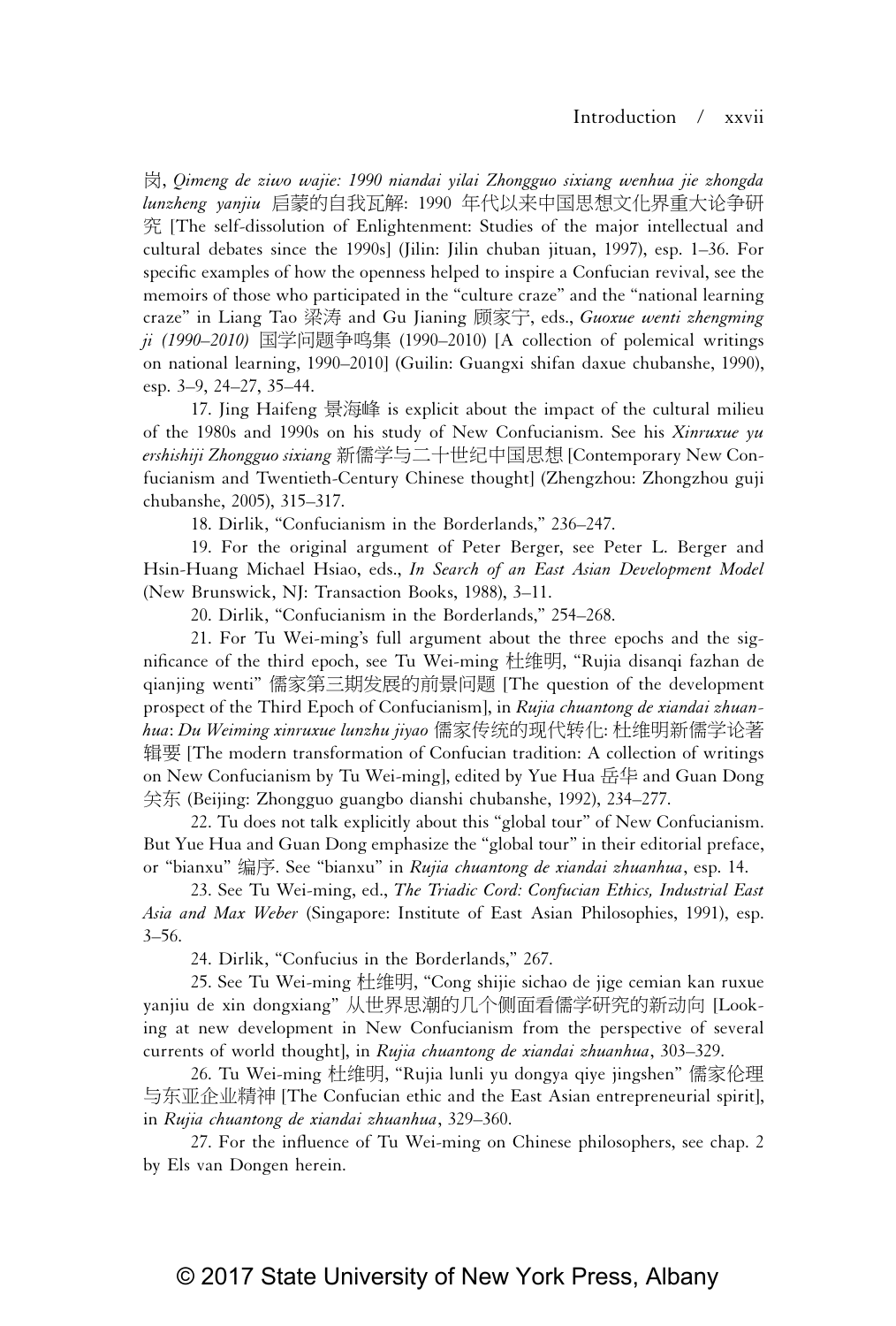ⰿ, *Qimeng de ziwo wajie: 1990 niandai yilai Zhongguo sixiang wenhua jie zhongda lunzheng yanjiu* 启蒙的自我瓦解: 1990 年代以来中国思想文化界重大论争研 䨞 [The self-dissolution of Enlightenment: Studies of the major intellectual and cultural debates since the 1990s] (Jilin: Jilin chuban jituan, 1997), esp. 1–36. For specific examples of how the openness helped to inspire a Confucian revival, see the memoirs of those who participated in the "culture craze" and the "national learning craze" in Liang Tao 梁涛 and Gu Jianing 顾家宁, eds., *Guoxue wenti zhengming ji (1990–2010)* 国学问题争鸣集 (1990–2010) [A collection of polemical writings on national learning, 1990–2010] (Guilin: Guangxi shifan daxue chubanshe, 1990), esp. 3–9, 24–27, 35–44.

17. Jing Haifeng 景海峰 is explicit about the impact of the cultural milieu of the 1980s and 1990s on his study of New Confucianism. See his *Xinruxue yu ershishiji Zhongguo sixiang* 新儒学与二十世纪中国思想 [Contemporary New Confucianism and Twentieth-Century Chinese thought] (Zhengzhou: Zhongzhou guji chubanshe, 2005), 315–317.

18. Dirlik, "Confucianism in the Borderlands," 236–247.

19. For the original argument of Peter Berger, see Peter L. Berger and Hsin-Huang Michael Hsiao, eds., *In Search of an East Asian Development Model* (New Brunswick, NJ: Transaction Books, 1988), 3–11.

20. Dirlik, "Confucianism in the Borderlands," 254–268.

21. For Tu Wei-ming's full argument about the three epochs and the significance of the third epoch, see Tu Wei-ming 杜维明, "Rujia disanqi fazhan de qianjing wenti" 儒家第三期发展的前景问题 [The question of the development prospect of the Third Epoch of Confucianism], in *Rujia chuantong de xiandai zhuanhua*: *Du Weiming xinruxue lunzhu jiyao* 儒家传统的现代转化: 杜维明新儒学论著 辑要 [The modern transformation of Confucian tradition: A collection of writings on New Confucianism by Tu Wei-ming], edited by Yue Hua 岳华 and Guan Dong ℛ᷄ (Beijing: Zhongguo guangbo dianshi chubanshe, 1992), 234–277.

22. Tu does not talk explicitly about this "global tour" of New Confucianism. But Yue Hua and Guan Dong emphasize the "global tour" in their editorial preface, or "bianxu" 亾⸷. See "bianxu" in *Rujia chuantong de xiandai zhuanhua*, esp. 14.

23. See Tu Wei-ming, ed., *The Triadic Cord: Confucian Ethics, Industrial East Asia and Max Weber* (Singapore: Institute of East Asian Philosophies, 1991), esp. 3–56.

24. Dirlik, "Confucius in the Borderlands," 267.

25. See Tu Wei-ming 杜维明, "Cong shijie sichao de jige cemian kan ruxue yanjiu de xin dongxiang" 从世界思潮的几个侧面看儒学研究的新动向 [Looking at new development in New Confucianism from the perspective of several currents of world thought], in *Rujia chuantong de xiandai zhuanhua*, 303–329.

26. Tu Wei-ming 杜维明, "Rujia lunli yu dongya qiye jingshen" 儒家伦理 ᶶ᷄Ṃẩ᷂䱦䤆 [The Confucian ethic and the East Asian entrepreneurial spirit], in *Rujia chuantong de xiandai zhuanhua*, 329–360.

27. For the influence of Tu Wei-ming on Chinese philosophers, see chap. 2 by Els van Dongen herein.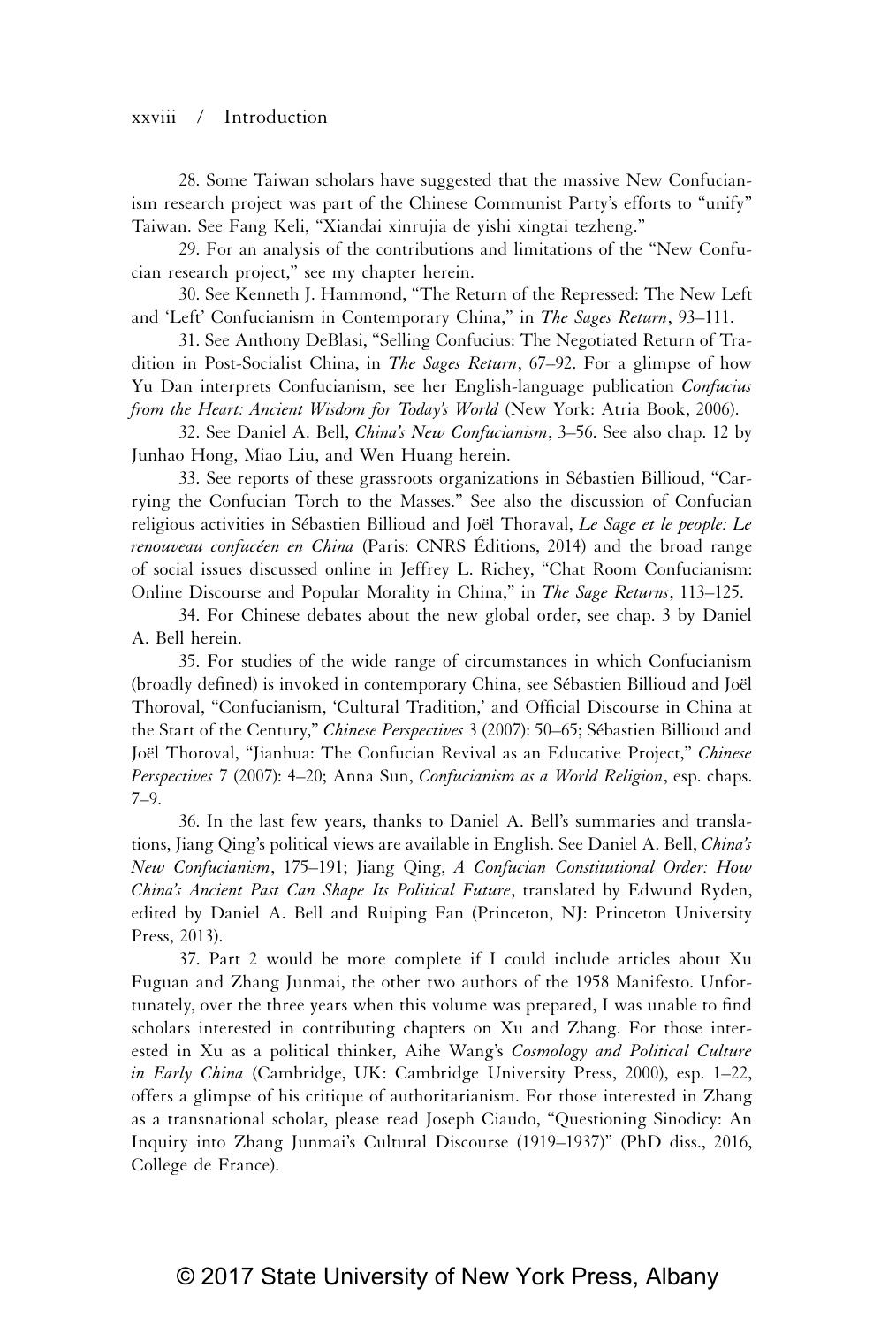#### xxviii / Introduction

28. Some Taiwan scholars have suggested that the massive New Confucianism research project was part of the Chinese Communist Party's efforts to "unify" Taiwan. See Fang Keli, "Xiandai xinrujia de yishi xingtai tezheng."

29. For an analysis of the contributions and limitations of the "New Confucian research project," see my chapter herein.

30. See Kenneth J. Hammond, "The Return of the Repressed: The New Left and 'Left' Confucianism in Contemporary China," in *The Sages Return*, 93–111.

31. See Anthony DeBlasi, "Selling Confucius: The Negotiated Return of Tradition in Post-Socialist China, in *The Sages Return*, 67–92. For a glimpse of how Yu Dan interprets Confucianism, see her English-language publication *Confucius from the Heart: Ancient Wisdom for Today's World* (New York: Atria Book, 2006).

32. See Daniel A. Bell, *China's New Confucianism*, 3–56. See also chap. 12 by Junhao Hong, Miao Liu, and Wen Huang herein.

33. See reports of these grassroots organizations in Sébastien Billioud, "Carrying the Confucian Torch to the Masses." See also the discussion of Confucian religious activities in Sébastien Billioud and Joël Thoraval, *Le Sage et le people: Le renouveau confucéen en China* (Paris: CNRS Éditions, 2014) and the broad range of social issues discussed online in Jeffrey L. Richey, "Chat Room Confucianism: Online Discourse and Popular Morality in China," in *The Sage Returns*, 113–125.

34. For Chinese debates about the new global order, see chap. 3 by Daniel A. Bell herein.

35. For studies of the wide range of circumstances in which Confucianism (broadly defined) is invoked in contemporary China, see Sébastien Billioud and Joël Thoroval, "Confucianism, 'Cultural Tradition,' and Official Discourse in China at the Start of the Century," *Chinese Perspectives* 3 (2007): 50–65; Sébastien Billioud and Joël Thoroval, "Jianhua: The Confucian Revival as an Educative Project," *Chinese Perspectives* 7 (2007): 4–20; Anna Sun, *Confucianism as a World Religion*, esp. chaps. 7–9.

36. In the last few years, thanks to Daniel A. Bell's summaries and translations, Jiang Qing's political views are available in English. See Daniel A. Bell, *China's New Confucianism*, 175–191; Jiang Qing, *A Confucian Constitutional Order: How China's Ancient Past Can Shape Its Political Future*, translated by Edwund Ryden, edited by Daniel A. Bell and Ruiping Fan (Princeton, NJ: Princeton University Press, 2013).

37. Part 2 would be more complete if I could include articles about Xu Fuguan and Zhang Junmai, the other two authors of the 1958 Manifesto. Unfortunately, over the three years when this volume was prepared, I was unable to find scholars interested in contributing chapters on Xu and Zhang. For those interested in Xu as a political thinker, Aihe Wang's *Cosmology and Political Culture in Early China* (Cambridge, UK: Cambridge University Press, 2000), esp. 1–22, offers a glimpse of his critique of authoritarianism. For those interested in Zhang as a transnational scholar, please read Joseph Ciaudo, "Questioning Sinodicy: An Inquiry into Zhang Junmai's Cultural Discourse (1919–1937)" (PhD diss., 2016, College de France).